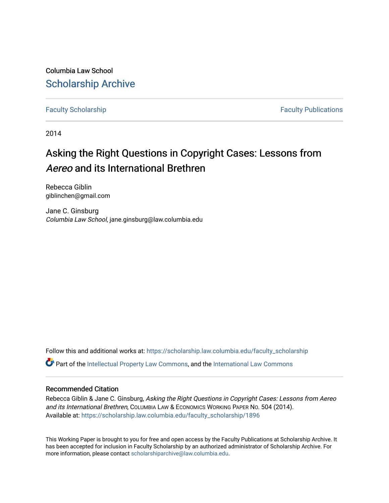Columbia Law School [Scholarship Archive](https://scholarship.law.columbia.edu/) 

[Faculty Scholarship](https://scholarship.law.columbia.edu/faculty_scholarship) **Faculty Scholarship Faculty Publications** 

2014

# Asking the Right Questions in Copyright Cases: Lessons from Aereo and its International Brethren

Rebecca Giblin giblinchen@gmail.com

Jane C. Ginsburg Columbia Law School, jane.ginsburg@law.columbia.edu

Follow this and additional works at: [https://scholarship.law.columbia.edu/faculty\\_scholarship](https://scholarship.law.columbia.edu/faculty_scholarship?utm_source=scholarship.law.columbia.edu%2Ffaculty_scholarship%2F1896&utm_medium=PDF&utm_campaign=PDFCoverPages)  $\bullet$  Part of the [Intellectual Property Law Commons,](http://network.bepress.com/hgg/discipline/896?utm_source=scholarship.law.columbia.edu%2Ffaculty_scholarship%2F1896&utm_medium=PDF&utm_campaign=PDFCoverPages) and the [International Law Commons](http://network.bepress.com/hgg/discipline/609?utm_source=scholarship.law.columbia.edu%2Ffaculty_scholarship%2F1896&utm_medium=PDF&utm_campaign=PDFCoverPages)

#### Recommended Citation

Rebecca Giblin & Jane C. Ginsburg, Asking the Right Questions in Copyright Cases: Lessons from Aereo and its International Brethren, COLUMBIA LAW & ECONOMICS WORKING PAPER NO. 504 (2014). Available at: [https://scholarship.law.columbia.edu/faculty\\_scholarship/1896](https://scholarship.law.columbia.edu/faculty_scholarship/1896?utm_source=scholarship.law.columbia.edu%2Ffaculty_scholarship%2F1896&utm_medium=PDF&utm_campaign=PDFCoverPages)

This Working Paper is brought to you for free and open access by the Faculty Publications at Scholarship Archive. It has been accepted for inclusion in Faculty Scholarship by an authorized administrator of Scholarship Archive. For more information, please contact [scholarshiparchive@law.columbia.edu.](mailto:scholarshiparchive@law.columbia.edu)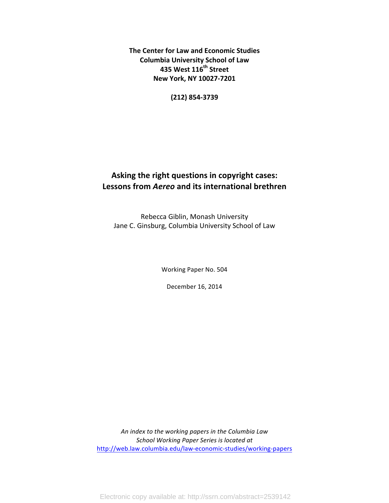**The Center for Law and Economic Studies Columbia University School of Law 435\$West\$116th Street New York, NY 10027-7201** 

**(212)\$854H3739**

## Asking the right questions in copyright cases: **Lessons\$from\$***Aereo* **and\$its\$international\$brethren**

Rebecca Giblin, Monash University Jane C. Ginsburg, Columbia University School of Law

Working Paper No. 504

December 16, 2014

An index to the working papers in the Columbia Law **School Working Paper Series is located at** http://web.law.columbia.edu/law-economic-studies/working-papers

Electronic copy available at: http://ssrn.com/abstract=2539142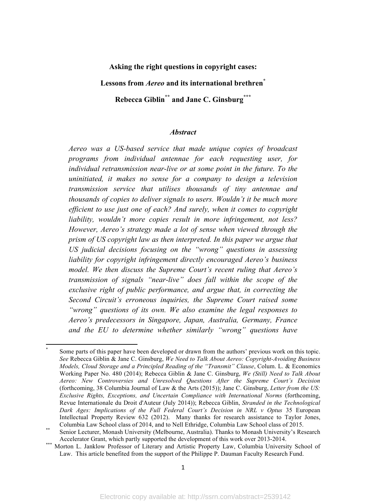#### **Asking the right questions in copyright cases:**

**Lessons from** *Aereo* **and its international brethren\***

**Rebecca Giblin\*\* and Jane C. Ginsburg\*\*\***

#### *Abstract*

*Aereo was a US-based service that made unique copies of broadcast programs from individual antennae for each requesting user, for individual retransmission near-live or at some point in the future. To the uninitiated, it makes no sense for a company to design a television transmission service that utilises thousands of tiny antennae and thousands of copies to deliver signals to users. Wouldn't it be much more efficient to use just one of each? And surely, when it comes to copyright liability, wouldn't more copies result in more infringement, not less? However, Aereo's strategy made a lot of sense when viewed through the prism of US copyright law as then interpreted. In this paper we argue that US judicial decisions focusing on the "wrong" questions in assessing liability for copyright infringement directly encouraged Aereo's business model. We then discuss the Supreme Court's recent ruling that Aereo's transmission of signals "near-live" does fall within the scope of the exclusive right of public performance, and argue that, in correcting the Second Circuit's erroneous inquiries, the Supreme Court raised some "wrong" questions of its own. We also examine the legal responses to Aereo's predecessors in Singapore, Japan, Australia, Germany, France and the EU to determine whether similarly "wrong" questions have* 

Some parts of this paper have been developed or drawn from the authors' previous work on this topic. *See* Rebecca Giblin & Jane C. Ginsburg, *We Need to Talk About Aereo: Copyright-Avoiding Business Models, Cloud Storage and a Principled Reading of the "Transmit" Clause*, Colum. L. & Economics Working Paper No. 480 (2014); Rebecca Giblin & Jane C. Ginsburg, *We (Still) Need to Talk About Aereo: New Controversies and Unresolved Questions After the Supreme Court's Decision* (forthcoming, 38 Columbia Journal of Law & the Arts (2015)); Jane C. Ginsburg, *Letter from the US: Exclusive Rights, Exceptions, and Uncertain Compliance with International Norms* (forthcoming, Revue Internationale du Droit d'Auteur (July 2014)); Rebecca Giblin, *Stranded in the Technological*  Dark Ages: Implications of the Full Federal Court's Decision in NRL v Optus 35 European Intellectual Property Review 632 (2012). Many thanks for research assistance to Taylor Jones, Columbia Law School class of 2014, and to Nell Ethridge, Columbia Law School class of 2015.<br>Senior Lecturer, Monash University (Melbourne, Australia). Thanks to Monash University's Research

Accelerator Grant, which partly supported the development of this work over 2013-2014.<br>Morton L. Janklow Professor of Literary and Artistic Property Law, Columbia University School of

Law. This article benefited from the support of the Philippe P. Dauman Faculty Research Fund.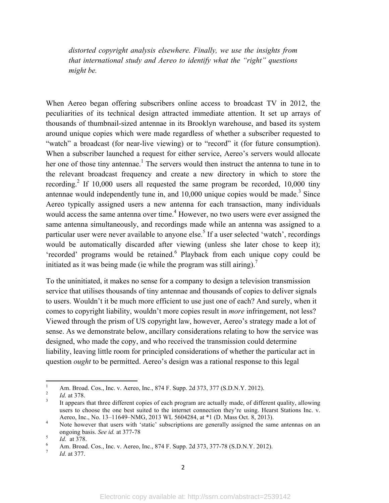*distorted copyright analysis elsewhere. Finally, we use the insights from that international study and Aereo to identify what the "right" questions might be.*

When Aereo began offering subscribers online access to broadcast TV in 2012, the peculiarities of its technical design attracted immediate attention. It set up arrays of thousands of thumbnail-sized antennae in its Brooklyn warehouse, and based its system around unique copies which were made regardless of whether a subscriber requested to "watch" a broadcast (for near-live viewing) or to "record" it (for future consumption). When a subscriber launched a request for either service, Aereo's servers would allocate her one of those tiny antennae.<sup>1</sup> The servers would then instruct the antenna to tune in to the relevant broadcast frequency and create a new directory in which to store the recording.<sup>2</sup> If 10,000 users all requested the same program be recorded, 10,000 tiny antennae would independently tune in, and  $10,000$  unique copies would be made.<sup>3</sup> Since Aereo typically assigned users a new antenna for each transaction, many individuals would access the same antenna over time.<sup>4</sup> However, no two users were ever assigned the same antenna simultaneously, and recordings made while an antenna was assigned to a particular user were never available to anyone else.<sup>5</sup> If a user selected 'watch', recordings would be automatically discarded after viewing (unless she later chose to keep it); 'recorded' programs would be retained. <sup>6</sup> Playback from each unique copy could be initiated as it was being made (ie while the program was still airing).<sup>7</sup>

To the uninitiated, it makes no sense for a company to design a television transmission service that utilises thousands of tiny antennae and thousands of copies to deliver signals to users. Wouldn't it be much more efficient to use just one of each? And surely, when it comes to copyright liability, wouldn't more copies result in *more* infringement, not less? Viewed through the prism of US copyright law, however, Aereo's strategy made a lot of sense. As we demonstrate below, ancillary considerations relating to how the service was designed, who made the copy, and who received the transmission could determine liability, leaving little room for principled considerations of whether the particular act in question *ought* to be permitted. Aereo's design was a rational response to this legal

<sup>&</sup>lt;sup>1</sup> Am. Broad. Cos., Inc. v. Aereo, Inc., 874 F. Supp. 2d 373, 377 (S.D.N.Y. 2012).<br><sup>2</sup> *Id.* at 378.<br><sup>3</sup> It appears that three different copies of each program are actually made, of different quality, allowing users to choose the one best suited to the internet connection they're using. Hearst Stations Inc. v. Aereo, Inc., No. 13–11649–NMG, 2013 WL 5604284, at \*1 (D. Mass Oct. 8, 2013).<br><sup>4</sup> Note however that users with 'static' subscriptions are generally assigned the same antennas on an

ongoing basis. *See id.* at 377-78<br> *Id.* at 378.<br>
Am. Broad. Cos., Inc. v. Aereo, Inc., 874 F. Supp. 2d 373, 377-78 (S.D.N.Y. 2012).<br> *Id.* at 377.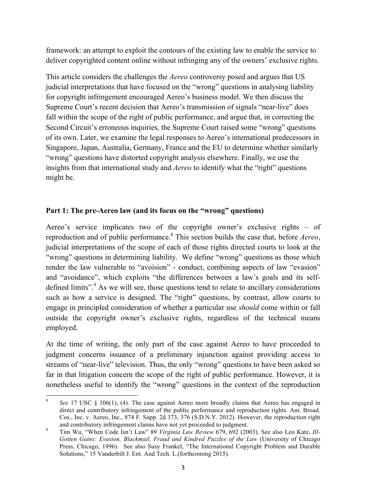framework: an attempt to exploit the contours of the existing law to enable the service to deliver copyrighted content online without infringing any of the owners' exclusive rights.

This article considers the challenges the *Aereo* controversy posed and argues that US judicial interpretations that have focused on the "wrong" questions in analysing liability for copyright infringement encouraged Aereo's business model. We then discuss the Supreme Court's recent decision that Aereo's transmission of signals "near-live" does fall within the scope of the right of public performance, and argue that, in correcting the Second Circuit's erroneous inquiries, the Supreme Court raised some "wrong" questions of its own. Later, we examine the legal responses to Aereo's international predecessors in Singapore, Japan, Australia, Germany, France and the EU to determine whether similarly "wrong" questions have distorted copyright analysis elsewhere. Finally, we use the insights from that international study and *Aereo* to identify what the "right" questions might be.

#### **Part 1: The pre-Aereo law (and its focus on the "wrong" questions)**

Aereo's service implicates two of the copyright owner's exclusive rights – of reproduction and of public performance.8 This section builds the case that, before *Aereo*, judicial interpretations of the scope of each of those rights directed courts to look at the "wrong" questions in determining liability. We define "wrong" questions as those which render the law vulnerable to "avoision" - conduct, combining aspects of law "evasion" and "avoidance", which exploits "the differences between a law's goals and its selfdefined limits".<sup>9</sup> As we will see, those questions tend to relate to ancillary considerations such as how a service is designed. The "right" questions, by contrast, allow courts to engage in principled consideration of whether a particular use *should* come within or fall outside the copyright owner's exclusive rights, regardless of the technical means employed.

At the time of writing, the only part of the case against Aereo to have proceeded to judgment concerns issuance of a preliminary injunction against providing access to streams of "near-live" television. Thus, the only "wrong" questions to have been asked so far in that litigation concern the scope of the right of public performance. However, it is nonetheless useful to identify the "wrong" questions in the context of the reproduction

<sup>8</sup> *See* 17 USC § 106(1), (4). The case against Aereo more broadly claims that Aereo has engaged in direct and contributory infringement of the public performance and reproduction rights. Am. Broad. Cos., Inc. v. Aereo, Inc., 874 F. Supp. 2d 373, 376 (S.D.N.Y. 2012). However, the reproduction right

and contributory infringement claims have not yet proceeded to judgment.<br><sup>9</sup> Tim Wu, "When Code Isn't Law" 89 *Virginia Law Review* 679, 692 (2003). See also Leo Katz, *Ill-Gotten Gains: Evasion, Blackmail, Fraud and Kindred Puzzles of the Law* (University of Chicago Press, Chicago, 1996). See also Susy Frankel, "The International Copyright Problem and Durable Solutions," 15 Vanderbilt J. Ent. And Tech. L.(forthcoming 2015).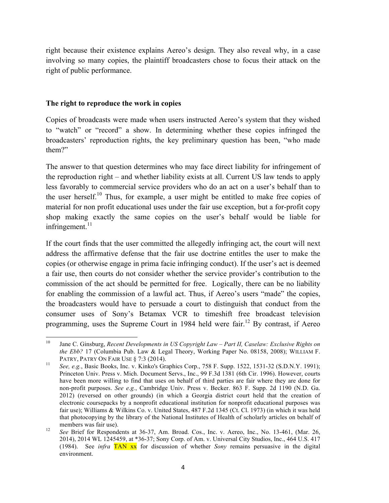right because their existence explains Aereo's design. They also reveal why, in a case involving so many copies, the plaintiff broadcasters chose to focus their attack on the right of public performance.

#### **The right to reproduce the work in copies**

""""""""""""""""""""""""""""""""""""""""""""""""""""""""""""

Copies of broadcasts were made when users instructed Aereo's system that they wished to "watch" or "record" a show. In determining whether these copies infringed the broadcasters' reproduction rights, the key preliminary question has been, "who made them?"

The answer to that question determines who may face direct liability for infringement of the reproduction right – and whether liability exists at all. Current US law tends to apply less favorably to commercial service providers who do an act on a user's behalf than to the user herself.<sup>10</sup> Thus, for example, a user might be entitled to make free copies of material for non profit educational uses under the fair use exception, but a for-profit copy shop making exactly the same copies on the user's behalf would be liable for infringement.<sup>11</sup>

If the court finds that the user committed the allegedly infringing act, the court will next address the affirmative defense that the fair use doctrine entitles the user to make the copies (or otherwise engage in prima facie infringing conduct). If the user's act is deemed a fair use, then courts do not consider whether the service provider's contribution to the commission of the act should be permitted for free. Logically, there can be no liability for enabling the commission of a lawful act. Thus, if Aereo's users "made" the copies, the broadcasters would have to persuade a court to distinguish that conduct from the consumer uses of Sony's Betamax VCR to timeshift free broadcast television programming, uses the Supreme Court in 1984 held were fair.<sup>12</sup> By contrast, if Aereo

<sup>10</sup> Jane C. Ginsburg, *Recent Developments in US Copyright Law – Part II, Caselaw: Exclusive Rights on the Ebb?* 17 (Columbia Pub. Law & Legal Theory, Working Paper No. 08158, 2008); WILLIAM F.

PATRY, PATRY ON FAIR USE § 7:3 (2014).<br><sup>11</sup> *See, e.g.*, Basic Books, Inc. v. Kinko's Graphics Corp., 758 F. Supp. 1522, 1531-32 (S.D.N.Y. 1991); Princeton Univ. Press v. Mich. Document Servs., Inc., 99 F.3d 1381 (6th Cir. 1996). However, courts have been more willing to find that uses on behalf of third parties are fair where they are done for non-profit purposes. *See e.g.*, Cambridge Univ. Press v. Becker. 863 F. Supp. 2d 1190 (N.D. Ga. 2012) (reversed on other grounds) (in which a Georgia district court held that the creation of electronic coursepacks by a nonprofit educational institution for nonprofit educational purposes was fair use); Williams & Wilkins Co. v. United States, 487 F.2d 1345 (Ct. Cl. 1973) (in which it was held that photocopying by the library of the National Institutes of Health of scholarly articles on behalf of

members was fair use).<br><sup>12</sup> *See* Brief for Respondents at 36-37, Am. Broad. Cos., Inc. v. Aereo, Inc., No. 13-461, (Mar. 26, 2014), 2014 WL 1245459, at \*36-37; Sony Corp. of Am. v. Universal City Studios, Inc., 464 U.S. 417 (1984). See *infra* TAN xx for discussion of whether *Sony* remains persuasive in the digital environment.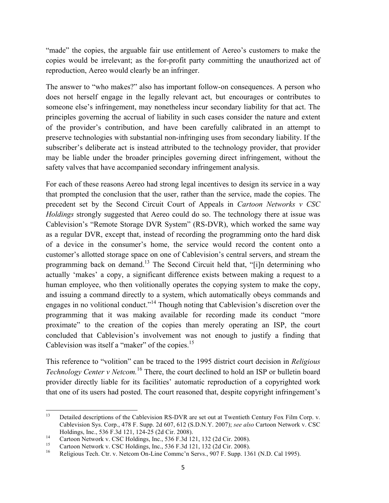"made" the copies, the arguable fair use entitlement of Aereo's customers to make the copies would be irrelevant; as the for-profit party committing the unauthorized act of reproduction, Aereo would clearly be an infringer.

The answer to "who makes?" also has important follow-on consequences. A person who does not herself engage in the legally relevant act, but encourages or contributes to someone else's infringement, may nonetheless incur secondary liability for that act. The principles governing the accrual of liability in such cases consider the nature and extent of the provider's contribution, and have been carefully calibrated in an attempt to preserve technologies with substantial non-infringing uses from secondary liability. If the subscriber's deliberate act is instead attributed to the technology provider, that provider may be liable under the broader principles governing direct infringement, without the safety valves that have accompanied secondary infringement analysis.

For each of these reasons Aereo had strong legal incentives to design its service in a way that prompted the conclusion that the user, rather than the service, made the copies. The precedent set by the Second Circuit Court of Appeals in *Cartoon Networks v CSC Holdings* strongly suggested that Aereo could do so. The technology there at issue was Cablevision's "Remote Storage DVR System" (RS-DVR), which worked the same way as a regular DVR, except that, instead of recording the programming onto the hard disk of a device in the consumer's home, the service would record the content onto a customer's allotted storage space on one of Cablevision's central servers, and stream the programming back on demand.<sup>13</sup> The Second Circuit held that, "[i]n determining who actually 'makes' a copy, a significant difference exists between making a request to a human employee, who then volitionally operates the copying system to make the copy, and issuing a command directly to a system, which automatically obeys commands and engages in no volitional conduct."<sup>14</sup> Though noting that Cablevision's discretion over the programming that it was making available for recording made its conduct "more proximate" to the creation of the copies than merely operating an ISP, the court concluded that Cablevision's involvement was not enough to justify a finding that Cablevision was itself a "maker" of the copies.<sup>15</sup>

This reference to "volition" can be traced to the 1995 district court decision in *Religious*  Technology Center v Netcom.<sup>16</sup> There, the court declined to hold an ISP or bulletin board provider directly liable for its facilities' automatic reproduction of a copyrighted work that one of its users had posted. The court reasoned that, despite copyright infringement's

<sup>&</sup>lt;sup>13</sup> Detailed descriptions of the Cablevision RS-DVR are set out at Twentieth Century Fox Film Corp. v. Cablevision Sys. Corp., 478 F. Supp. 2d 607, 612 (S.D.N.Y. 2007); *see also* Cartoon Network v. CSC Holdings, Inc., 536 F.3d 121, 124-25 (2d Cir. 2008).<br>
Cartoon Network v. CSC Holdings, Inc., 536 F.3d 121, 132 (2d Cir. 2008).<br>
Cartoon Network v. CSC Holdings, Inc., 536 F.3d 121, 132 (2d Cir. 2008).<br>
Religious Tech. Ctr.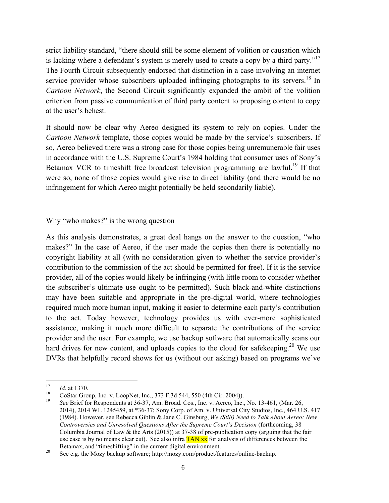strict liability standard, "there should still be some element of volition or causation which is lacking where a defendant's system is merely used to create a copy by a third party."<sup>17</sup> The Fourth Circuit subsequently endorsed that distinction in a case involving an internet service provider whose subscribers uploaded infringing photographs to its servers.<sup>18</sup> In *Cartoon Network*, the Second Circuit significantly expanded the ambit of the volition criterion from passive communication of third party content to proposing content to copy at the user's behest.

It should now be clear why Aereo designed its system to rely on copies. Under the *Cartoon Network* template, those copies would be made by the service's subscribers. If so, Aereo believed there was a strong case for those copies being unremunerable fair uses in accordance with the U.S. Supreme Court's 1984 holding that consumer uses of Sony's Betamax VCR to timeshift free broadcast television programming are lawful.<sup>19</sup> If that were so, none of those copies would give rise to direct liability (and there would be no infringement for which Aereo might potentially be held secondarily liable).

#### Why "who makes?" is the wrong question

As this analysis demonstrates, a great deal hangs on the answer to the question, "who makes?" In the case of Aereo, if the user made the copies then there is potentially no copyright liability at all (with no consideration given to whether the service provider's contribution to the commission of the act should be permitted for free). If it is the service provider, all of the copies would likely be infringing (with little room to consider whether the subscriber's ultimate use ought to be permitted). Such black-and-white distinctions may have been suitable and appropriate in the pre-digital world, where technologies required much more human input, making it easier to determine each party's contribution to the act. Today however, technology provides us with ever-more sophisticated assistance, making it much more difficult to separate the contributions of the service provider and the user. For example, we use backup software that automatically scans our hard drives for new content, and uploads copies to the cloud for safekeeping.<sup>20</sup> We use DVRs that helpfully record shows for us (without our asking) based on programs we've

<sup>17</sup> *Id.* at 1370.<br><sup>18</sup> CoStar Group, Inc. v. LoopNet, Inc., 373 F.3d 544, 550 (4th Cir. 2004)).<br><sup>19</sup> *See* Brief for Respondents at 36-37, Am. Broad. Cos., Inc. v. Aereo, Inc., No. 13-461, (Mar. 26, 2014), 2014 WL 1245459, at \*36-37; Sony Corp. of Am. v. Universal City Studios, Inc., 464 U.S. 417 (1984). However, see Rebecca Giblin & Jane C. Ginsburg, *We (Still) Need to Talk About Aereo: New Controversies and Unresolved Questions After the Supreme Court's Decision* (forthcoming, 38 Columbia Journal of Law  $\&$  the Arts (2015)) at 37-38 of pre-publication copy (arguing that the fair use case is by no means clear cut). See also infra  $TAN$  xx for analysis of differences between the Betamax, and "timeshifting" in the current digital environment.<br><sup>20</sup> See e.g. the Mozy backup software; http://mozy.com/product/features/online-backup.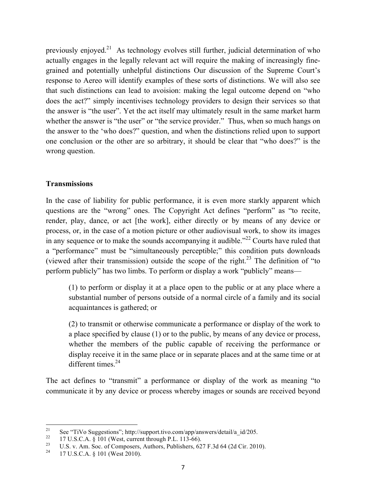previously enjoyed.<sup>21</sup> As technology evolves still further, judicial determination of who actually engages in the legally relevant act will require the making of increasingly finegrained and potentially unhelpful distinctions Our discussion of the Supreme Court's response to Aereo will identify examples of these sorts of distinctions. We will also see that such distinctions can lead to avoision: making the legal outcome depend on "who does the act?" simply incentivises technology providers to design their services so that the answer is "the user". Yet the act itself may ultimately result in the same market harm whether the answer is "the user" or "the service provider." Thus, when so much hangs on the answer to the 'who does?" question, and when the distinctions relied upon to support one conclusion or the other are so arbitrary, it should be clear that "who does?" is the wrong question.

#### **Transmissions**

In the case of liability for public performance, it is even more starkly apparent which questions are the "wrong" ones. The Copyright Act defines "perform" as "to recite, render, play, dance, or act [the work], either directly or by means of any device or process, or, in the case of a motion picture or other audiovisual work, to show its images in any sequence or to make the sounds accompanying it audible.<sup> $22$ </sup> Courts have ruled that a "performance" must be "simultaneously perceptible;" this condition puts downloads (viewed after their transmission) outside the scope of the right.<sup>23</sup> The definition of "to" perform publicly" has two limbs. To perform or display a work "publicly" means—

(1) to perform or display it at a place open to the public or at any place where a substantial number of persons outside of a normal circle of a family and its social acquaintances is gathered; or

(2) to transmit or otherwise communicate a performance or display of the work to a place specified by clause (1) or to the public, by means of any device or process, whether the members of the public capable of receiving the performance or display receive it in the same place or in separate places and at the same time or at different times. $24$ 

The act defines to "transmit" a performance or display of the work as meaning "to communicate it by any device or process whereby images or sounds are received beyond

<sup>&</sup>lt;sup>21</sup> See "TiVo Suggestions"; http://support.tivo.com/app/answers/detail/a\_id/205.<br><sup>22</sup> 17 U.S.C.A. § 101 (West, current through P.L. 113-66).<br><sup>23</sup> U.S. v. Am. Soc. of Composers, Authors, Publishers, 627 F.3d 64 (2d Cir. 2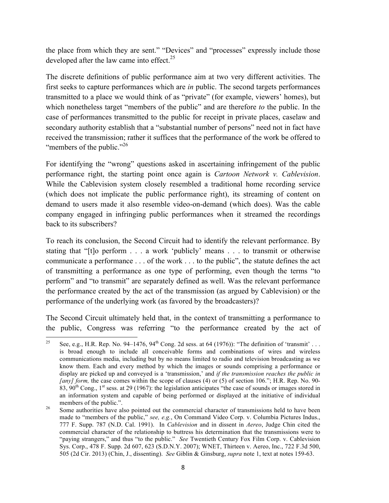the place from which they are sent." "Devices" and "processes" expressly include those developed after the law came into effect.<sup>25</sup>

The discrete definitions of public performance aim at two very different activities. The first seeks to capture performances which are *in* public. The second targets performances transmitted to a place we would think of as "private" (for example, viewers' homes), but which nonetheless target "members of the public" and are therefore *to* the public. In the case of performances transmitted to the public for receipt in private places, caselaw and secondary authority establish that a "substantial number of persons" need not in fact have received the transmission; rather it suffices that the performance of the work be offered to "members of the public."<sup>26</sup>

For identifying the "wrong" questions asked in ascertaining infringement of the public performance right, the starting point once again is *Cartoon Network v. Cablevision*. While the Cablevision system closely resembled a traditional home recording service (which does not implicate the public performance right), its streaming of content on demand to users made it also resemble video-on-demand (which does). Was the cable company engaged in infringing public performances when it streamed the recordings back to its subscribers?

To reach its conclusion, the Second Circuit had to identify the relevant performance. By stating that "[t]o perform . . . a work 'publicly' means . . . to transmit or otherwise communicate a performance . . . of the work . . . to the public", the statute defines the act of transmitting a performance as one type of performing, even though the terms "to perform" and "to transmit" are separately defined as well. Was the relevant performance the performance created by the act of the transmission (as argued by Cablevision) or the performance of the underlying work (as favored by the broadcasters)?

The Second Circuit ultimately held that, in the context of transmitting a performance to the public, Congress was referring "to the performance created by the act of

<sup>&</sup>quot;""""""""""""""""""""""""""""""""""""""""""""""""""""""""""" <sup>25</sup> See, e.g., H.R. Rep. No. 94–1476, 94<sup>th</sup> Cong. 2d sess. at 64 (1976)): "The definition of 'transmit' . . . is broad enough to include all conceivable forms and combinations of wires and wireless communications media, including but by no means limited to radio and television broadcasting as we know them. Each and every method by which the images or sounds comprising a performance or display are picked up and conveyed is a 'transmission,' and *if the transmission reaches the public in [any] form,* the case comes within the scope of clauses (4) or (5) of section 106."; H.R. Rep. No. 90-83,  $90^{th}$  Cong., 1<sup>st</sup> sess. at 29 (1967): the legislation anticipates "the case of sounds or images stored in an information system and capable of being performed or displayed at the initiative of individual

<sup>&</sup>lt;sup>26</sup> Some authorities have also pointed out the commercial character of transmissions held to have been made to "members of the public," *see, e.g.*, On Command Video Corp. v. Columbia Pictures Indus., 777 F. Supp. 787 (N.D. Cal. 1991). In *Cablevision* and in dissent in *Aereo*, Judge Chin cited the commercial character of the relationship to buttress his determination that the transmissions were to "paying strangers," and thus "to the public." *See* Twentieth Century Fox Film Corp. v. Cablevision Sys. Corp., 478 F. Supp. 2d 607, 623 (S.D.N.Y. 2007); WNET, Thirteen v. Aereo, Inc., 722 F.3d 500, 505 (2d Cir. 2013) (Chin, J., dissenting). *See* Giblin & Ginsburg, *supra* note 1, text at notes 159-63.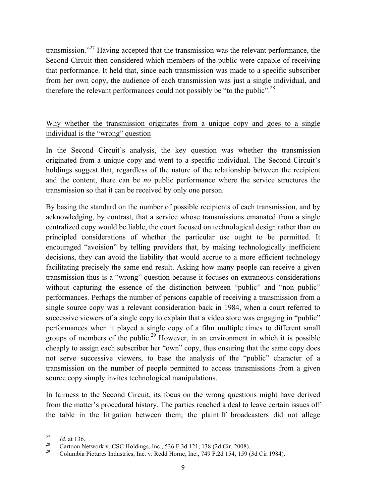transmission."27 Having accepted that the transmission was the relevant performance, the Second Circuit then considered which members of the public were capable of receiving that performance. It held that, since each transmission was made to a specific subscriber from her own copy, the audience of each transmission was just a single individual, and therefore the relevant performances could not possibly be "to the public".<sup>28</sup>

## Why whether the transmission originates from a unique copy and goes to a single individual is the "wrong" question

In the Second Circuit's analysis, the key question was whether the transmission originated from a unique copy and went to a specific individual. The Second Circuit's holdings suggest that, regardless of the nature of the relationship between the recipient and the content, there can be *no* public performance where the service structures the transmission so that it can be received by only one person.

By basing the standard on the number of possible recipients of each transmission, and by acknowledging, by contrast, that a service whose transmissions emanated from a single centralized copy would be liable, the court focused on technological design rather than on principled considerations of whether the particular use ought to be permitted. It encouraged "avoision" by telling providers that, by making technologically inefficient decisions, they can avoid the liability that would accrue to a more efficient technology facilitating precisely the same end result. Asking how many people can receive a given transmission thus is a "wrong" question because it focuses on extraneous considerations without capturing the essence of the distinction between "public" and "non public" performances. Perhaps the number of persons capable of receiving a transmission from a single source copy was a relevant consideration back in 1984, when a court referred to successive viewers of a single copy to explain that a video store was engaging in "public" performances when it played a single copy of a film multiple times to different small groups of members of the public.<sup>29</sup> However, in an environment in which it is possible cheaply to assign each subscriber her "own" copy, thus ensuring that the same copy does not serve successive viewers, to base the analysis of the "public" character of a transmission on the number of people permitted to access transmissions from a given source copy simply invites technological manipulations.

In fairness to the Second Circuit, its focus on the wrong questions might have derived from the matter's procedural history. The parties reached a deal to leave certain issues off the table in the litigation between them; the plaintiff broadcasters did not allege

<sup>&</sup>lt;sup>27</sup> *Id.* at 136.<br><sup>28</sup> Cartoon Network v. CSC Holdings, Inc., 536 F.3d 121, 138 (2d Cir. 2008).<br><sup>29</sup> Columbia Pictures Industries, Inc. v. Redd Horne, Inc., 749 F.2d 154, 159 (3d Cir.1984).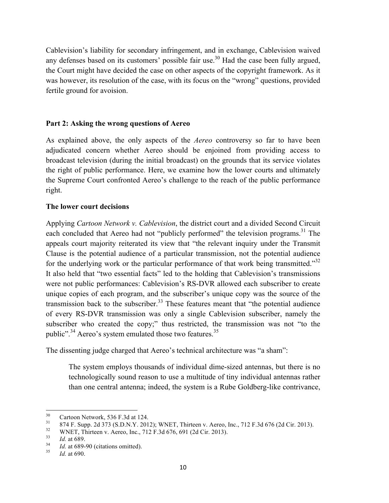Cablevision's liability for secondary infringement, and in exchange, Cablevision waived any defenses based on its customers' possible fair use.<sup>30</sup> Had the case been fully argued, the Court might have decided the case on other aspects of the copyright framework. As it was however, its resolution of the case, with its focus on the "wrong" questions, provided fertile ground for avoision.

#### **Part 2: Asking the wrong questions of Aereo**

As explained above, the only aspects of the *Aereo* controversy so far to have been adjudicated concern whether Aereo should be enjoined from providing access to broadcast television (during the initial broadcast) on the grounds that its service violates the right of public performance. Here, we examine how the lower courts and ultimately the Supreme Court confronted Aereo's challenge to the reach of the public performance right.

#### **The lower court decisions**

Applying *Cartoon Network v. Cablevision*, the district court and a divided Second Circuit each concluded that Aereo had not "publicly performed" the television programs.<sup>31</sup> The appeals court majority reiterated its view that "the relevant inquiry under the Transmit Clause is the potential audience of a particular transmission, not the potential audience for the underlying work or the particular performance of that work being transmitted.<sup>32</sup> It also held that "two essential facts" led to the holding that Cablevision's transmissions were not public performances: Cablevision's RS-DVR allowed each subscriber to create unique copies of each program, and the subscriber's unique copy was the source of the transmission back to the subscriber.<sup>33</sup> These features meant that "the potential audience of every RS-DVR transmission was only a single Cablevision subscriber, namely the subscriber who created the copy;" thus restricted, the transmission was not "to the public".<sup>34</sup> Aereo's system emulated those two features.<sup>35</sup>

The dissenting judge charged that Aereo's technical architecture was "a sham":

The system employs thousands of individual dime-sized antennas, but there is no technologically sound reason to use a multitude of tiny individual antennas rather than one central antenna; indeed, the system is a Rube Goldberg-like contrivance,

<sup>30&</sup>lt;br>
Cartoon Network, 536 F.3d at 124.<br>
874 F. Supp. 2d 373 (S.D.N.Y. 2012); WNET, Thirteen v. Aereo, Inc., 712 F.3d 676 (2d Cir. 2013).<br>
WNET, Thirteen v. Aereo, Inc., 712 F.3d 676, 691 (2d Cir. 2013).<br> *Id.* at 689.<br> *Id*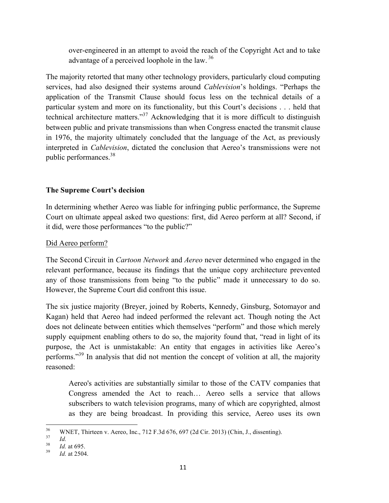over-engineered in an attempt to avoid the reach of the Copyright Act and to take advantage of a perceived loophole in the law.<sup>36</sup>

The majority retorted that many other technology providers, particularly cloud computing services, had also designed their systems around *Cablevision*'s holdings. "Perhaps the application of the Transmit Clause should focus less on the technical details of a particular system and more on its functionality, but this Court's decisions . . . held that technical architecture matters."37 Acknowledging that it is more difficult to distinguish between public and private transmissions than when Congress enacted the transmit clause in 1976, the majority ultimately concluded that the language of the Act, as previously interpreted in *Cablevision*, dictated the conclusion that Aereo's transmissions were not public performances.38

## **The Supreme Court's decision**

In determining whether Aereo was liable for infringing public performance, the Supreme Court on ultimate appeal asked two questions: first, did Aereo perform at all? Second, if it did, were those performances "to the public?"

## Did Aereo perform?

The Second Circuit in *Cartoon Network* and *Aereo* never determined who engaged in the relevant performance, because its findings that the unique copy architecture prevented any of those transmissions from being "to the public" made it unnecessary to do so. However, the Supreme Court did confront this issue.

The six justice majority (Breyer, joined by Roberts, Kennedy, Ginsburg, Sotomayor and Kagan) held that Aereo had indeed performed the relevant act. Though noting the Act does not delineate between entities which themselves "perform" and those which merely supply equipment enabling others to do so, the majority found that, "read in light of its purpose, the Act is unmistakable: An entity that engages in activities like Aereo's performs."<sup>39</sup> In analysis that did not mention the concept of volition at all, the majority reasoned:

Aereo's activities are substantially similar to those of the CATV companies that Congress amended the Act to reach… Aereo sells a service that allows subscribers to watch television programs, many of which are copyrighted, almost as they are being broadcast. In providing this service, Aereo uses its own

<sup>&</sup>lt;sup>36</sup> WNET, Thirteen v. Aereo, Inc., 712 F.3d 676, 697 (2d Cir. 2013) (Chin, J., dissenting).<br> *Id.* 38 *Id.* at 695.<br> *Id.* at 2504.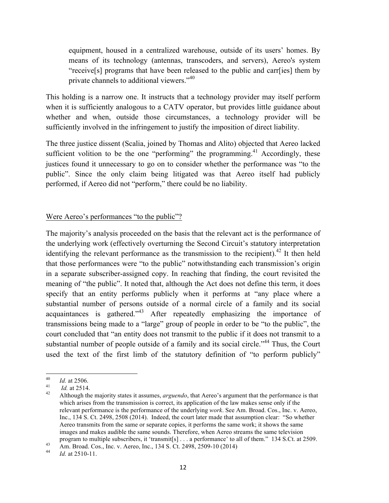equipment, housed in a centralized warehouse, outside of its users' homes. By means of its technology (antennas, transcoders, and servers), Aereo's system "receive[s] programs that have been released to the public and carr[ies] them by private channels to additional viewers."<sup>40</sup>

This holding is a narrow one. It instructs that a technology provider may itself perform when it is sufficiently analogous to a CATV operator, but provides little guidance about whether and when, outside those circumstances, a technology provider will be sufficiently involved in the infringement to justify the imposition of direct liability.

The three justice dissent (Scalia, joined by Thomas and Alito) objected that Aereo lacked sufficient volition to be the one "performing" the programming.<sup>41</sup> Accordingly, these justices found it unnecessary to go on to consider whether the performance was "to the public". Since the only claim being litigated was that Aereo itself had publicly performed, if Aereo did not "perform," there could be no liability.

## Were Aereo's performances "to the public"?

The majority's analysis proceeded on the basis that the relevant act is the performance of the underlying work (effectively overturning the Second Circuit's statutory interpretation identifying the relevant performance as the transmission to the recipient).<sup>42</sup> It then held that those performances were "to the public" notwithstanding each transmission's origin in a separate subscriber-assigned copy. In reaching that finding, the court revisited the meaning of "the public". It noted that, although the Act does not define this term, it does specify that an entity performs publicly when it performs at "any place where a substantial number of persons outside of a normal circle of a family and its social acquaintances is gathered.<sup> $143$ </sup> After repeatedly emphasizing the importance of transmissions being made to a "large" group of people in order to be "to the public", the court concluded that "an entity does not transmit to the public if it does not transmit to a substantial number of people outside of a family and its social circle."<sup>44</sup> Thus, the Court used the text of the first limb of the statutory definition of "to perform publicly"

<sup>&</sup>lt;sup>40</sup> *Id.* at 2506.<br><sup>41</sup> *Id.* at 2514.<br><sup>42</sup> Although the majority states it assumes, *arguendo*, that Aereo's argument that the performance is that which arises from the transmission is correct, its application of the law makes sense only if the relevant performance is the performance of the underlying *work*. See Am. Broad. Cos., Inc. v. Aereo, Inc., 134 S. Ct. 2498, 2508 (2014). Indeed, the court later made that assumption clear: "So whether Aereo transmits from the same or separate copies, it performs the same work; it shows the same images and makes audible the same sounds. Therefore, when Aereo streams the same television program to multiple subscribers, it 'transmit[s] . . . a performance' to all of them." 134 S.Ct. at 2509.<br>Am. Broad. Cos., Inc. v. Aereo, Inc., 134 S.Ct. 2498, 2509-10 (2014) *Id.* at 2510-11.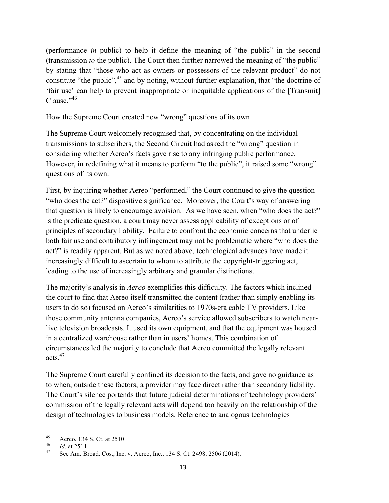(performance *in* public) to help it define the meaning of "the public" in the second (transmission *to* the public). The Court then further narrowed the meaning of "the public" by stating that "those who act as owners or possessors of the relevant product" do not constitute "the public", <sup>45</sup> and by noting, without further explanation, that "the doctrine of 'fair use' can help to prevent inappropriate or inequitable applications of the [Transmit] Clause."46

## How the Supreme Court created new "wrong" questions of its own

The Supreme Court welcomely recognised that, by concentrating on the individual transmissions to subscribers, the Second Circuit had asked the "wrong" question in considering whether Aereo's facts gave rise to any infringing public performance. However, in redefining what it means to perform "to the public", it raised some "wrong" questions of its own.

First, by inquiring whether Aereo "performed," the Court continued to give the question "who does the act?" dispositive significance. Moreover, the Court's way of answering that question is likely to encourage avoision. As we have seen, when "who does the act?" is the predicate question, a court may never assess applicability of exceptions or of principles of secondary liability. Failure to confront the economic concerns that underlie both fair use and contributory infringement may not be problematic where "who does the act?" is readily apparent. But as we noted above, technological advances have made it increasingly difficult to ascertain to whom to attribute the copyright-triggering act, leading to the use of increasingly arbitrary and granular distinctions.

The majority's analysis in *Aereo* exemplifies this difficulty. The factors which inclined the court to find that Aereo itself transmitted the content (rather than simply enabling its users to do so) focused on Aereo's similarities to 1970s-era cable TV providers. Like those community antenna companies, Aereo's service allowed subscribers to watch nearlive television broadcasts. It used its own equipment, and that the equipment was housed in a centralized warehouse rather than in users' homes. This combination of circumstances led the majority to conclude that Aereo committed the legally relevant acts $47$ 

The Supreme Court carefully confined its decision to the facts, and gave no guidance as to when, outside these factors, a provider may face direct rather than secondary liability. The Court's silence portends that future judicial determinations of technology providers' commission of the legally relevant acts will depend too heavily on the relationship of the design of technologies to business models. Reference to analogous technologies

<sup>&</sup>quot;"""""""""""""""""""""""""""""""""""""""""""""""""""""""""""

<sup>45</sup> Aereo, 134 S. Ct. at 2510<br> *Id.* at 2511<br>
See Am. Broad. Cos., Inc. v. Aereo, Inc., 134 S. Ct. 2498, 2506 (2014).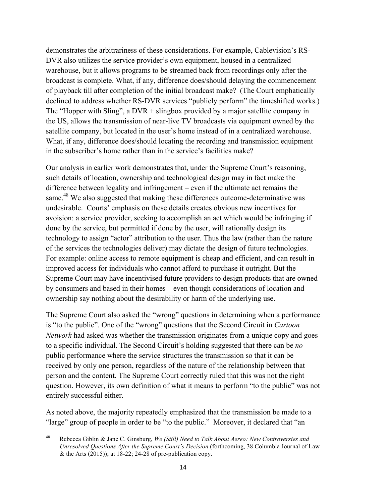demonstrates the arbitrariness of these considerations. For example, Cablevision's RS-DVR also utilizes the service provider's own equipment, housed in a centralized warehouse, but it allows programs to be streamed back from recordings only after the broadcast is complete. What, if any, difference does/should delaying the commencement of playback till after completion of the initial broadcast make? (The Court emphatically declined to address whether RS-DVR services "publicly perform" the timeshifted works.) The "Hopper with Sling", a DVR + slingbox provided by a major satellite company in the US, allows the transmission of near-live TV broadcasts via equipment owned by the satellite company, but located in the user's home instead of in a centralized warehouse. What, if any, difference does/should locating the recording and transmission equipment in the subscriber's home rather than in the service's facilities make?

Our analysis in earlier work demonstrates that, under the Supreme Court's reasoning, such details of location, ownership and technological design may in fact make the difference between legality and infringement – even if the ultimate act remains the same.<sup>48</sup> We also suggested that making these differences outcome-determinative was undesirable. Courts' emphasis on these details creates obvious new incentives for avoision: a service provider, seeking to accomplish an act which would be infringing if done by the service, but permitted if done by the user, will rationally design its technology to assign "actor" attribution to the user. Thus the law (rather than the nature of the services the technologies deliver) may dictate the design of future technologies. For example: online access to remote equipment is cheap and efficient, and can result in improved access for individuals who cannot afford to purchase it outright. But the Supreme Court may have incentivised future providers to design products that are owned by consumers and based in their homes – even though considerations of location and ownership say nothing about the desirability or harm of the underlying use.

The Supreme Court also asked the "wrong" questions in determining when a performance is "to the public". One of the "wrong" questions that the Second Circuit in *Cartoon Network* had asked was whether the transmission originates from a unique copy and goes to a specific individual. The Second Circuit's holding suggested that there can be *no* public performance where the service structures the transmission so that it can be received by only one person, regardless of the nature of the relationship between that person and the content. The Supreme Court correctly ruled that this was not the right question. However, its own definition of what it means to perform "to the public" was not entirely successful either.

As noted above, the majority repeatedly emphasized that the transmission be made to a "large" group of people in order to be "to the public." Moreover, it declared that "an

<sup>&</sup>quot;""""""""""""""""""""""""""""""""""""""""""""""""""""""""""" <sup>48</sup> Rebecca Giblin & Jane C. Ginsburg, *We (Still) Need to Talk About Aereo: New Controversies and Unresolved Questions After the Supreme Court's Decision* (forthcoming, 38 Columbia Journal of Law & the Arts  $(2015)$ ; at 18-22; 24-28 of pre-publication copy.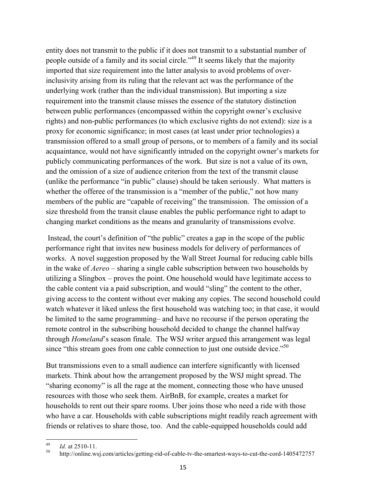entity does not transmit to the public if it does not transmit to a substantial number of people outside of a family and its social circle."<sup>49</sup> It seems likely that the majority imported that size requirement into the latter analysis to avoid problems of overinclusivity arising from its ruling that the relevant act was the performance of the underlying work (rather than the individual transmission). But importing a size requirement into the transmit clause misses the essence of the statutory distinction between public performances (encompassed within the copyright owner's exclusive rights) and non-public performances (to which exclusive rights do not extend): size is a proxy for economic significance; in most cases (at least under prior technologies) a transmission offered to a small group of persons, or to members of a family and its social acquaintance, would not have significantly intruded on the copyright owner's markets for publicly communicating performances of the work. But size is not a value of its own, and the omission of a size of audience criterion from the text of the transmit clause (unlike the performance "in public" clause) should be taken seriously. What matters is whether the offeree of the transmission is a "member of the public," not how many members of the public are "capable of receiving" the transmission. The omission of a size threshold from the transit clause enables the public performance right to adapt to changing market conditions as the means and granularity of transmissions evolve.

Instead, the court's definition of "the public" creates a gap in the scope of the public performance right that invites new business models for delivery of performances of works. A novel suggestion proposed by the Wall Street Journal for reducing cable bills in the wake of *Aereo* – sharing a single cable subscription between two households by utilizing a Slingbox – proves the point. One household would have legitimate access to the cable content via a paid subscription, and would "sling" the content to the other, giving access to the content without ever making any copies. The second household could watch whatever it liked unless the first household was watching too; in that case, it would be limited to the same programming– and have no recourse if the person operating the remote control in the subscribing household decided to change the channel halfway through *Homeland*'s season finale. The WSJ writer argued this arrangement was legal since "this stream goes from one cable connection to just one outside device."<sup>50</sup>

But transmissions even to a small audience can interfere significantly with licensed markets. Think about how the arrangement proposed by the WSJ might spread. The "sharing economy" is all the rage at the moment, connecting those who have unused resources with those who seek them. AirBnB, for example, creates a market for households to rent out their spare rooms. Uber joins those who need a ride with those who have a car. Households with cable subscriptions might readily reach agreement with friends or relatives to share those, too. And the cable-equipped households could add

<sup>&</sup>lt;sup>49</sup> *Id.* at 2510-11.<br><sup>50</sup> http://online.wsj.com/articles/getting-rid-of-cable-tv-the-smartest-ways-to-cut-the-cord-1405472757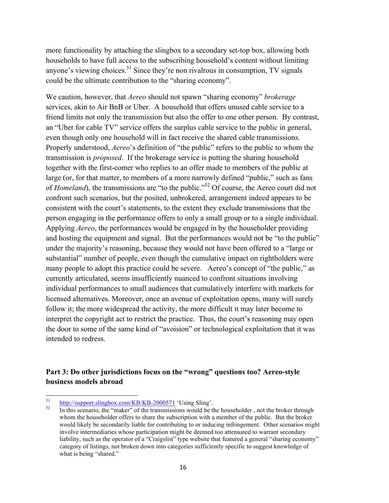more functionality by attaching the slingbox to a secondary set-top box, allowing both households to have full access to the subscribing household's content without limiting anyone's viewing choices.<sup>51</sup> Since they're non rivalrous in consumption, TV signals could be the ultimate contribution to the "sharing economy".

We caution, however, that *Aereo* should not spawn "sharing economy" *brokerage* services, akin to Air BnB or Uber. A household that offers unused cable service to a friend limits not only the transmission but also the offer to one other person. By contrast, an "Uber for cable TV" service offers the surplus cable service to the public in general, even though only one household will in fact receive the shared cable transmissions. Properly understood, *Aereo*'s definition of "the public" refers to the public to whom the transmission is *proposed*. If the brokerage service is putting the sharing household together with the first-comer who replies to an offer made to members of the public at large (or, for that matter, to members of a more narrowly defined "public," such as fans of *Homeland*), the transmissions are "to the public."<sup>52</sup> Of course, the Aereo court did not confront such scenarios, but the posited, unbrokered, arrangement indeed appears to be consistent with the court's statements, to the extent they exclude transmissions that the person engaging in the performance offers to only a small group or to a single individual. Applying *Aereo*, the performances would be engaged in by the householder providing and hosting the equipment and signal. But the performances would not be "to the public" under the majority's reasoning, because they would not have been offered to a "large or substantial" number of people, even though the cumulative impact on rightholders were many people to adopt this practice could be severe. Aereo's concept of "the public," as currently articulated, seems insufficiently nuanced to confront situations involving individual performances to small audiences that cumulatively interfere with markets for licensed alternatives. Moreover, once an avenue of exploitation opens, many will surely follow it; the more widespread the activity, the more difficult it may later become to interpret the copyright act to restrict the practice. Thus, the court's reasoning may open the door to some of the same kind of "avoision" or technological exploitation that it was intended to redress.

## **Part 3: Do other jurisdictions focus on the "wrong" questions too? Aereo-style business models abroad**

 $\frac{\text{http://support.slingbox.com/KB/KB-2000571}}{\text{In this scenario, the "maker" of the transmissions would be the householder, not the broker through}}$ whom the householder offers to share the subscription with a member of the public. But the broker would likely be secondarily liable for contributing to or inducing infringement. Other scenarios might involve intermediaries whose participation might be deemed too attenuated to warrant secondary liability, such as the operator of a "Craigslist" type website that featured a general "sharing economy" category of listings, not broken down into categories sufficiently specific to suggest knowledge of what is being "shared."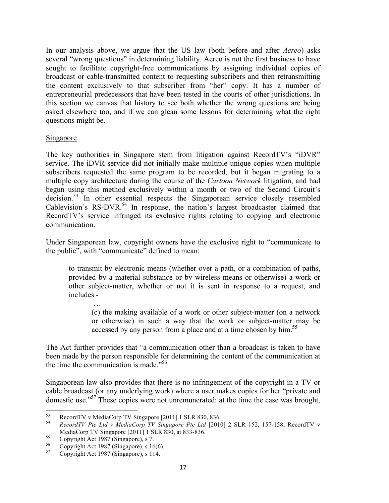In our analysis above, we argue that the US law (both before and after *Aereo*) asks several "wrong questions" in determining liability. Aereo is not the first business to have sought to facilitate copyright-free communications by assigning individual copies of broadcast or cable-transmitted content to requesting subscribers and then retransmitting the content exclusively to that subscriber from "her" copy. It has a number of entrepreneurial predecessors that have been tested in the courts of other jurisdictions. In this section we canvas that history to see both whether the wrong questions are being asked elsewhere too, and if we can glean some lessons for determining what the right questions might be.

#### Singapore

The key authorities in Singapore stem from litigation against RecordTV's "iDVR" service. The iDVR service did not initially make multiple unique copies when multiple subscribers requested the same program to be recorded, but it began migrating to a multiple copy architecture during the course of the *Cartoon Network* litigation, and had begun using this method exclusively within a month or two of the Second Circuit's decision.53 In other essential respects the Singaporean service closely resembled Cablevision's RS-DVR.<sup>54</sup> In response, the nation's largest broadcaster claimed that RecordTV's service infringed its exclusive rights relating to copying and electronic communication.

Under Singaporean law, copyright owners have the exclusive right to "communicate to the public", with "communicate" defined to mean:

to transmit by electronic means (whether over a path, or a combination of paths, provided by a material substance or by wireless means or otherwise) a work or other subject-matter, whether or not it is sent in response to a request, and includes -

(c) the making available of a work or other subject-matter (on a network or otherwise) in such a way that the work or subject-matter may be accessed by any person from a place and at a time chosen by him.<sup>55</sup>

The Act further provides that "a communication other than a broadcast is taken to have been made by the person responsible for determining the content of the communication at the time the communication is made."<sup>56</sup>

Singaporean law also provides that there is no infringement of the copyright in a TV or cable broadcast (or any underlying work) where a user makes copies for her "private and domestic use."57 These copies were not unremunerated: at the time the case was brought,

""""""""""""""""""""""""""""""""""""""""""""""""""""""""""""

…

<sup>53</sup> RecordTV v MediaCorp TV Singapore [2011] 1 SLR 830, 836. <sup>54</sup> *RecordTV Pte Ltd v MediaCorp TV Singapore Pte Ltd* [2010] 2 SLR 152, 157-158; RecordTV v MediaCorp TV Singapore [2011] 1 SLR 830, at 833-836.<br>
<sup>55</sup> Copyright Act 1987 (Singapore), s 7.<br>
<sup>56</sup> Copyright Act 1987 (Singapore), s 16(6).<br>
<sup>57</sup> Copyright Act 1987 (Singapore), s 114.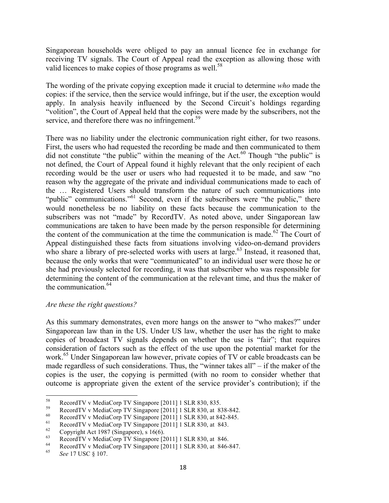Singaporean households were obliged to pay an annual licence fee in exchange for receiving TV signals. The Court of Appeal read the exception as allowing those with valid licences to make copies of those programs as well.<sup>58</sup>

The wording of the private copying exception made it crucial to determine *who* made the copies: if the service, then the service would infringe, but if the user, the exception would apply. In analysis heavily influenced by the Second Circuit's holdings regarding "volition", the Court of Appeal held that the copies were made by the subscribers, not the service, and therefore there was no infringement.<sup>59</sup>

There was no liability under the electronic communication right either, for two reasons. First, the users who had requested the recording be made and then communicated to them did not constitute "the public" within the meaning of the Act. $^{60}$  Though "the public" is not defined, the Court of Appeal found it highly relevant that the only recipient of each recording would be the user or users who had requested it to be made, and saw "no reason why the aggregate of the private and individual communications made to each of the … Registered Users should transform the nature of such communications into "public" communications."<sup>61</sup> Second, even if the subscribers were "the public," there would nonetheless be no liability on these facts because the communication to the subscribers was not "made" by RecordTV. As noted above, under Singaporean law communications are taken to have been made by the person responsible for determining the content of the communication at the time the communication is made.<sup>62</sup> The Court of Appeal distinguished these facts from situations involving video-on-demand providers who share a library of pre-selected works with users at large.<sup>63</sup> Instead, it reasoned that, because the only works that were "communicated" to an individual user were those he or she had previously selected for recording, it was that subscriber who was responsible for determining the content of the communication at the relevant time, and thus the maker of the communication.<sup>64</sup>

#### *Are these the right questions?*

""""""""""""""""""""""""""""""""""""""""""""""""""""""""""""

As this summary demonstrates, even more hangs on the answer to "who makes?" under Singaporean law than in the US. Under US law, whether the user has the right to make copies of broadcast TV signals depends on whether the use is "fair"; that requires consideration of factors such as the effect of the use upon the potential market for the work.<sup>65</sup> Under Singaporean law however, private copies of TV or cable broadcasts can be made regardless of such considerations. Thus, the "winner takes all" – if the maker of the copies is the user, the copying is permitted (with no room to consider whether that outcome is appropriate given the extent of the service provider's contribution); if the

<sup>&</sup>lt;sup>58</sup><br>RecordTV v MediaCorp TV Singapore [2011] 1 SLR 830, 835.<br>RecordTV v MediaCorp TV Singapore [2011] 1 SLR 830, at 838-842.<br>RecordTV v MediaCorp TV Singapore [2011] 1 SLR 830, at 842-845.<br>RecordTV v MediaCorp TV Singapo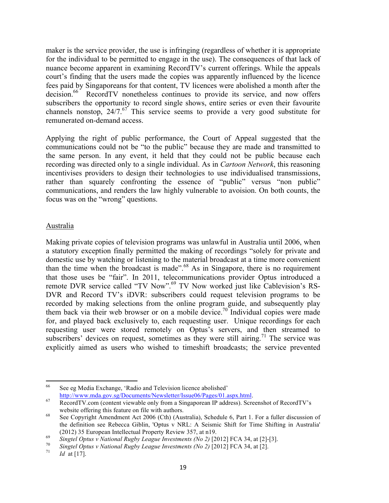maker is the service provider, the use is infringing (regardless of whether it is appropriate for the individual to be permitted to engage in the use). The consequences of that lack of nuance become apparent in examining RecordTV's current offerings. While the appeals court's finding that the users made the copies was apparently influenced by the licence fees paid by Singaporeans for that content, TV licences were abolished a month after the decision.<sup>66</sup> RecordTV nonetheless continues to provide its service, and now offers subscribers the opportunity to record single shows, entire series or even their favourite channels nonstop,  $24/7$ .<sup>67</sup> This service seems to provide a very good substitute for remunerated on-demand access.

Applying the right of public performance, the Court of Appeal suggested that the communications could not be "to the public" because they are made and transmitted to the same person. In any event, it held that they could not be public because each recording was directed only to a single individual. As in *Cartoon Network*, this reasoning incentivises providers to design their technologies to use individualised transmissions, rather than squarely confronting the essence of "public" versus "non public" communications, and renders the law highly vulnerable to avoision. On both counts, the focus was on the "wrong" questions.

#### Australia

Making private copies of television programs was unlawful in Australia until 2006, when a statutory exception finally permitted the making of recordings "solely for private and domestic use by watching or listening to the material broadcast at a time more convenient than the time when the broadcast is made".<sup>68</sup> As in Singapore, there is no requirement that those uses be "fair". In 2011, telecommunications provider Optus introduced a remote DVR service called "TV Now".<sup>69</sup> TV Now worked just like Cablevision's RS-DVR and Record TV's iDVR: subscribers could request television programs to be recorded by making selections from the online program guide, and subsequently play them back via their web browser or on a mobile device.<sup>70</sup> Individual copies were made for, and played back exclusively to, each requesting user. Unique recordings for each requesting user were stored remotely on Optus's servers, and then streamed to subscribers' devices on request, sometimes as they were still airing.<sup>71</sup> The service was explicitly aimed as users who wished to timeshift broadcasts; the service prevented

<sup>&</sup>quot;""""""""""""""""""""""""""""""""""""""""""""""""""""""""""" <sup>66</sup> See eg Media Exchange, 'Radio and Television licence abolished'

http://www.mda.gov.sg/Documents/Newsletter/Issue06/Pages/01.aspx.html. 67 RecordTV.com (content viewable only from a Singaporean IP address). Screenshot of RecordTV's

website offering this feature on file with authors.<br>
See Copyright Amendment Act 2006 (Cth) (Australia), Schedule 6, Part 1. For a fuller discussion of the definition see Rebecca Giblin, 'Optus v NRL: A Seismic Shift for Time Shifting in Australia'

<sup>(2012) 35</sup> European Intellectual Property Review 357, at n19.<br>
Singtel Optus v National Rugby League Investments (No 2) [2012] FCA 34, at [2]-[3].<br>
To Singtel Optus v National Rugby League Investments (No 2) [2012] FCA 34,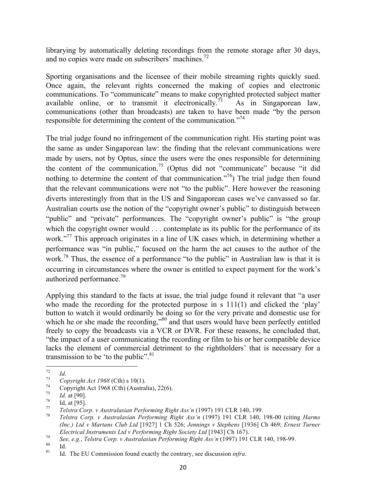librarying by automatically deleting recordings from the remote storage after 30 days, and no copies were made on subscribers' machines.<sup>72</sup>

Sporting organisations and the licensee of their mobile streaming rights quickly sued. Once again, the relevant rights concerned the making of copies and electronic communications. To "communicate" means to make copyrighted protected subject matter available online, or to transmit it electronically.<sup>73</sup> As in Singaporean law, communications (other than broadcasts) are taken to have been made "by the person responsible for determining the content of the communication."<sup>74</sup>

The trial judge found no infringement of the communication right. His starting point was the same as under Singaporean law: the finding that the relevant communications were made by users, not by Optus, since the users were the ones responsible for determining the content of the communication.<sup>75</sup> (Optus did not "communicate" because "it did nothing to determine the content of that communication.<sup> $,76$ </sup>) The trial judge then found that the relevant communications were not "to the public". Here however the reasoning diverts interestingly from that in the US and Singaporean cases we've canvassed so far. Australian courts use the notion of the "copyright owner's public" to distinguish between "public" and "private" performances. The "copyright owner's public" is "the group which the copyright owner would . . . contemplate as its public for the performance of its work."<sup>77</sup> This approach originates in a line of UK cases which, in determining whether a performance was "in public," focused on the harm the act causes to the author of the work.<sup>78</sup> Thus, the essence of a performance "to the public" in Australian law is that it is occurring in circumstances where the owner is entitled to expect payment for the work's authorized performance.<sup>79</sup>

Applying this standard to the facts at issue, the trial judge found it relevant that "a user who made the recording for the protected purpose in s 111(1) and clicked the 'play' button to watch it would ordinarily be doing so for the very private and domestic use for which he or she made the recording,"<sup>80</sup> and that users would have been perfectly entitled freely to copy the broadcasts via a VCR or DVR. For these reasons, he concluded that, "the impact of a user communicating the recording or film to his or her compatible device lacks the element of commercial detriment to the rightholders' that is necessary for a transmission to be 'to the public". $81$ 

<sup>&</sup>quot;"""""""""""""""""""""""""""""""""""""""""""""""""""""""""""

<sup>&</sup>lt;sup>72</sup> Id.<br>
Copyright Act 1968 (Cth) s 10(1).<br>
<sup>73</sup> Copyright Act 1968 (Cth) (Australia), 22(6).<br>
<sup>75</sup> Id. at [90].<br>
<sup>76</sup> Id. at [95].<br> *Telstra Corp. v Australasian Performing Right Ass'n* (1997) 191 CLR 140, 199.<br> *Telstr (Inc.) Ltd v Martans Club Ltd* [1927] 1 Ch 526; *Jennings v Stephens* [1936] Ch 469; *Ernest Turner*  Electrical Instruments Ltd v Performing Right Society Ltd [1943] Ch 167).<br>
See, e.g., Telstra Corp. v Australasian Performing Right Ass'n (1997) 191 CLR 140, 198-99.<br>
Id. Ihe EU Commission found exactly the contrary, see d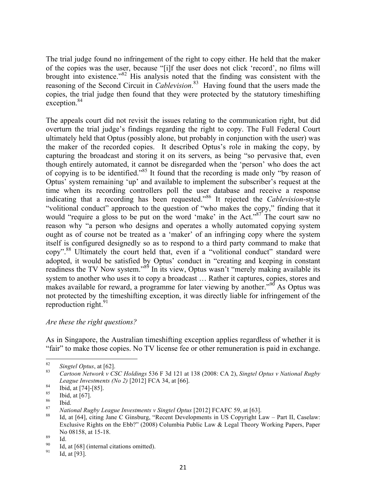The trial judge found no infringement of the right to copy either. He held that the maker of the copies was the user, because "[i]f the user does not click 'record', no films will brought into existence."<sup>82</sup> His analysis noted that the finding was consistent with the reasoning of the Second Circuit in *Cablevision*. 83 Having found that the users made the copies, the trial judge then found that they were protected by the statutory timeshifting exception.<sup>84</sup>

The appeals court did not revisit the issues relating to the communication right, but did overturn the trial judge's findings regarding the right to copy. The Full Federal Court ultimately held that Optus (possibly alone, but probably in conjunction with the user) was the maker of the recorded copies. It described Optus's role in making the copy, by capturing the broadcast and storing it on its servers, as being "so pervasive that, even though entirely automated, it cannot be disregarded when the 'person' who does the act of copying is to be identified."85 It found that the recording is made only "by reason of Optus' system remaining 'up' and available to implement the subscriber's request at the time when its recording controllers poll the user database and receive a response indicating that a recording has been requested."<sup>86</sup> It rejected the *Cablevision*-style "volitional conduct" approach to the question of "who makes the copy," finding that it would "require a gloss to be put on the word 'make' in the Act."<sup>87</sup> The court saw no reason why "a person who designs and operates a wholly automated copying system ought as of course not be treated as a 'maker' of an infringing copy where the system itself is configured designedly so as to respond to a third party command to make that copy".<sup>88</sup> Ultimately the court held that, even if a "volitional conduct" standard were adopted, it would be satisfied by Optus' conduct in "creating and keeping in constant readiness the TV Now system."<sup>89</sup> In its view, Optus wasn't "merely making available its system to another who uses it to copy a broadcast … Rather it captures, copies, stores and makes available for reward, a programme for later viewing by another."<sup>90</sup> As Optus was not protected by the timeshifting exception, it was directly liable for infringement of the reproduction right. $91$ 

#### *Are these the right questions?*

""""""""""""""""""""""""""""""""""""""""""""""""""""""""""""

As in Singapore, the Australian timeshifting exception applies regardless of whether it is "fair" to make those copies. No TV license fee or other remuneration is paid in exchange.

<sup>82</sup> *Singtel Optus*, at [62]. <sup>83</sup> *Cartoon Network v CSC Holdings* 536 F 3d 121 at 138 (2008: CA 2), *Singtel Optus v National Rugby*  League Investments (No 2) [2012] FCA 34, at [66].<br>
<sup>84</sup> Ibid, at [74]-[85].<br>
<sup>85</sup> Ibid, at [67].<br>
<sup>87</sup> *National Rugby League Investments v Singtel Optus* [2012] FCAFC 59, at [63].<br>
<sup>87</sup> Id, at [64], citing Jane C Ginsburg

Exclusive Rights on the Ebb?" (2008) Columbia Public Law & Legal Theory Working Papers, Paper No 08158, at 15-18.<br><sup>89</sup> Id. at [68] (internal citations omitted).<br><sup>91</sup> Id, at [93].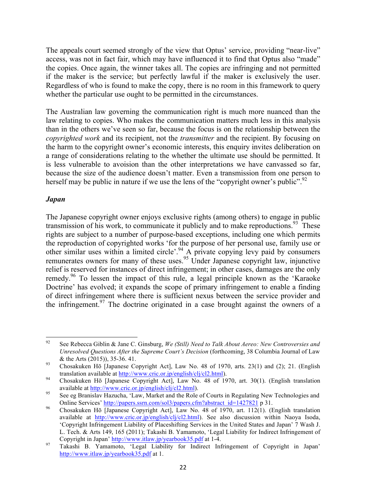The appeals court seemed strongly of the view that Optus' service, providing "near-live" access, was not in fact fair, which may have influenced it to find that Optus also "made" the copies. Once again, the winner takes all. The copies are infringing and not permitted if the maker is the service; but perfectly lawful if the maker is exclusively the user. Regardless of who is found to make the copy, there is no room in this framework to query whether the particular use ought to be permitted in the circumstances.

The Australian law governing the communication right is much more nuanced than the law relating to copies. Who makes the communication matters much less in this analysis than in the others we've seen so far, because the focus is on the relationship between the *copyrighted work* and its recipient, not the *transmitter* and the recipient. By focusing on the harm to the copyright owner's economic interests, this enquiry invites deliberation on a range of considerations relating to the whether the ultimate use should be permitted. It is less vulnerable to avoision than the other interpretations we have canvassed so far, because the size of the audience doesn't matter. Even a transmission from one person to herself may be public in nature if we use the lens of the "copyright owner's public". $^{92}$ 

#### *Japan*

The Japanese copyright owner enjoys exclusive rights (among others) to engage in public transmission of his work, to communicate it publicly and to make reproductions.<sup>93</sup> These rights are subject to a number of purpose-based exceptions, including one which permits the reproduction of copyrighted works 'for the purpose of her personal use, family use or other similar uses within a limited circle'.<sup>94</sup> A private copying levy paid by consumers remunerates owners for many of these uses.<sup>95</sup> Under Japanese copyright law, injunctive relief is reserved for instances of direct infringement; in other cases, damages are the only remedy.<sup>96</sup> To lessen the impact of this rule, a legal principle known as the 'Karaoke' Doctrine' has evolved; it expands the scope of primary infringement to enable a finding of direct infringement where there is sufficient nexus between the service provider and the infringement.<sup>97</sup> The doctrine originated in a case brought against the owners of a

<sup>&</sup>quot;""""""""""""""""""""""""""""""""""""""""""""""""""""""""""" <sup>92</sup> See Rebecca Giblin & Jane C. Ginsburg, *We (Still) Need to Talk About Aereo: New Controversies and Unresolved Questions After the Supreme Court's Decision* (forthcoming, 38 Columbia Journal of Law

<sup>&</sup>amp; the Arts (2015)), 35-36. 41.<br><sup>93</sup> Chosakuken Hō [Japanese Copyright Act], Law No. 48 of 1970, arts. 23(1) and (2); 21. (English translation available at http://www.cric.or.jp/english/clj/cl2.html).<br><sup>94</sup> Chosakuken Hō [Japanese Copyright Act], Law No. 48 of 1970, art. 30(1). (English translation

available at http://www.cric.or.jp/english/clj/cl2.html).<br>
95 See eg Branislav Hazucha, 'Law, Market and the Role of Courts in Regulating New Technologies and

Online Services' http://papers.ssrn.com/sol3/papers.cfm?abstract\_id=1427821 p 31.<br>
96 Chosakuken Hō [Japanese Copyright Act], Law No. 48 of 1970, art. 112(1). (English translation available at http://www.cric.or.jp/english/clj/cl2.html). See also discussion within Naoya Isoda, 'Copyright Infringement Liability of Placeshifting Services in the United States and Japan' 7 Wash J. L. Tech. & Arts 149, 165 (2011); Takashi B. Yamamoto, 'Legal Liability for Indirect Infringement of

Copyright in Japan' http://www.itlaw.jp/yearbook35.pdf at 1-4. <sup>97</sup> Takashi B. Yamamoto, 'Legal Liability for Indirect Infringement of Copyright in Japan' http://www.itlaw.jp/yearbook35.pdf at 1.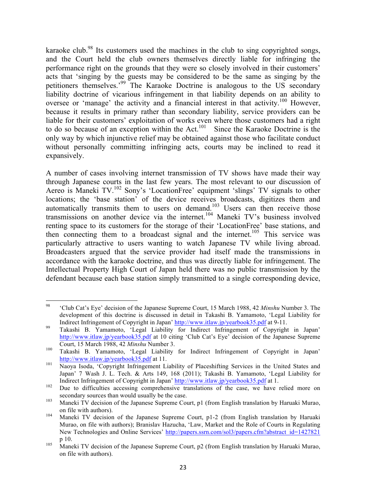karaoke club.<sup>98</sup> Its customers used the machines in the club to sing copyrighted songs, and the Court held the club owners themselves directly liable for infringing the performance right on the grounds that they were so closely involved in their customers' acts that 'singing by the guests may be considered to be the same as singing by the petitioners themselves.'99 The Karaoke Doctrine is analogous to the US secondary liability doctrine of vicarious infringement in that liability depends on an ability to oversee or 'manage' the activity and a financial interest in that activity.<sup>100</sup> However, because it results in primary rather than secondary liability, service providers can be liable for their customers' exploitation of works even where those customers had a right to do so because of an exception within the Act.<sup>101</sup> Since the Karaoke Doctrine is the only way by which injunctive relief may be obtained against those who facilitate conduct without personally committing infringing acts, courts may be inclined to read it expansively.

A number of cases involving internet transmission of TV shows have made their way through Japanese courts in the last few years. The most relevant to our discussion of Aereo is Maneki TV.102 Sony's 'LocationFree' equipment 'slings' TV signals to other locations; the 'base station' of the device receives broadcasts, digitizes them and automatically transmits them to users on demand.<sup>103</sup> Users can then receive those transmissions on another device via the internet.<sup>104</sup> Maneki TV's business involved renting space to its customers for the storage of their 'LocationFree' base stations, and then connecting them to a broadcast signal and the internet.<sup>105</sup> This service was particularly attractive to users wanting to watch Japanese TV while living abroad. Broadcasters argued that the service provider had itself made the transmissions in accordance with the karaoke doctrine, and thus was directly liable for infringement. The Intellectual Property High Court of Japan held there was no public transmission by the defendant because each base station simply transmitted to a single corresponding device,

<sup>&</sup>quot;""""""""""""""""""""""""""""""""""""""""""""""""""""""""""" <sup>98</sup> 'Club Cat's Eye' decision of the Japanese Supreme Court, 15 March 1988, 42 *Minshu* Number 3. The development of this doctrine is discussed in detail in Takashi B. Yamamoto, 'Legal Liability for Indirect Infringement of Copyright in Japan' http://www.itlaw.jp/yearbook35.pdf at 9-11.<br><sup>99</sup> Takashi B. Yamamoto, 'Legal Liability for Indirect Infringement of Copyright in Japan'

http://www.itlaw.jp/yearbook35.pdf at 10 citing 'Club Cat's Eye' decision of the Japanese Supreme Court, 15 March 1988, 42 *Minshu* Number 3. 100 Takashi B. Yamamoto, 'Legal Liability for Indirect Infringement of Copyright in Japan'

http://www.itlaw.jp/yearbook35.pdf at 11.<br><sup>101</sup> Naoya Isoda, 'Copyright Infringement Liability of Placeshifting Services in the United States and Japan' 7 Wash J. L. Tech. & Arts 149, 168 (2011); Takashi B. Yamamoto, 'Legal Liability for Indirect Infringement of Copyright in Japan' http://www.itlaw.jp/yearbook35.pdf at 1.<br>
Due to difficulties accessing comprehensive translations of the case, we have relied more on

secondary sources than would usually be the case.<br><sup>103</sup> Maneki TV decision of the Japanese Supreme Court, p1 (from English translation by Haruaki Murao,

on file with authors).<br><sup>104</sup> Maneki TV decision of the Japanese Supreme Court, p1-2 (from English translation by Haruaki

Murao, on file with authors); Branislav Hazucha, 'Law, Market and the Role of Courts in Regulating New Technologies and Online Services' http://papers.ssrn.com/sol3/papers.cfm?abstract\_id=1427821

p 10. 105 Maneki TV decision of the Japanese Supreme Court, p2 (from English translation by Haruaki Murao, on file with authors).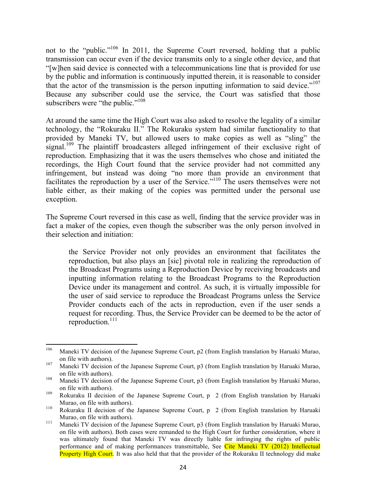not to the "public."<sup>106</sup> In 2011, the Supreme Court reversed, holding that a public transmission can occur even if the device transmits only to a single other device, and that "[w]hen said device is connected with a telecommunications line that is provided for use by the public and information is continuously inputted therein, it is reasonable to consider that the actor of the transmission is the person inputting information to said device."<sup>107</sup> Because any subscriber could use the service, the Court was satisfied that those subscribers were "the public."<sup>108</sup>

At around the same time the High Court was also asked to resolve the legality of a similar technology, the "Rokuraku II." The Rokuraku system had similar functionality to that provided by Maneki TV, but allowed users to make copies as well as "sling" the signal.<sup>109</sup> The plaintiff broadcasters alleged infringement of their exclusive right of reproduction. Emphasizing that it was the users themselves who chose and initiated the recordings, the High Court found that the service provider had not committed any infringement, but instead was doing "no more than provide an environment that facilitates the reproduction by a user of the Service."<sup>110</sup> The users themselves were not liable either, as their making of the copies was permitted under the personal use exception.

The Supreme Court reversed in this case as well, finding that the service provider was in fact a maker of the copies, even though the subscriber was the only person involved in their selection and initiation:

the Service Provider not only provides an environment that facilitates the reproduction, but also plays an [sic] pivotal role in realizing the reproduction of the Broadcast Programs using a Reproduction Device by receiving broadcasts and inputting information relating to the Broadcast Programs to the Reproduction Device under its management and control. As such, it is virtually impossible for the user of said service to reproduce the Broadcast Programs unless the Service Provider conducts each of the acts in reproduction, even if the user sends a request for recording. Thus, the Service Provider can be deemed to be the actor of reproduction.<sup>111</sup>

<sup>&</sup>lt;sup>106</sup> Maneki TV decision of the Japanese Supreme Court, p2 (from English translation by Haruaki Murao,

on file with authors).<br><sup>107</sup> Maneki TV decision of the Japanese Supreme Court, p3 (from English translation by Haruaki Murao, on file with authors).<br><sup>108</sup> Maneki TV decision of the Japanese Supreme Court, p3 (from English translation by Haruaki Murao,

on file with authors). <sup>109</sup> Rokuraku II decision of the Japanese Supreme Court, p 2 (from English translation by Haruaki

Murao, on file with authors).<br><sup>110</sup> Rokuraku II decision of the Japanese Supreme Court, p 2 (from English translation by Haruaki

Murao, on file with authors).<br><sup>111</sup> Maneki TV decision of the Japanese Supreme Court, p3 (from English translation by Haruaki Murao, on file with authors). Both cases were remanded to the High Court for further consideration, where it was ultimately found that Maneki TV was directly liable for infringing the rights of public performance and of making performances transmittable, See Cite Maneki TV (2012) Intellectual **Property High Court**. It was also held that that the provider of the Rokuraku II technology did make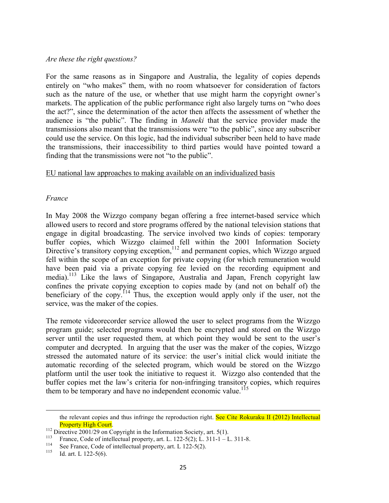#### *Are these the right questions?*

For the same reasons as in Singapore and Australia, the legality of copies depends entirely on "who makes" them, with no room whatsoever for consideration of factors such as the nature of the use, or whether that use might harm the copyright owner's markets. The application of the public performance right also largely turns on "who does the act?", since the determination of the actor then affects the assessment of whether the audience is "the public". The finding in *Maneki* that the service provider made the transmissions also meant that the transmissions were "to the public", since any subscriber could use the service. On this logic, had the individual subscriber been held to have made the transmissions, their inaccessibility to third parties would have pointed toward a finding that the transmissions were not "to the public".

#### EU national law approaches to making available on an individualized basis

#### *France*

In May 2008 the Wizzgo company began offering a free internet-based service which allowed users to record and store programs offered by the national television stations that engage in digital broadcasting. The service involved two kinds of copies: temporary buffer copies, which Wizzgo claimed fell within the 2001 Information Society Directive's transitory copying exception,<sup>112</sup> and permanent copies, which Wizzgo argued fell within the scope of an exception for private copying (for which remuneration would have been paid via a private copying fee levied on the recording equipment and media).<sup>113</sup> Like the laws of Singapore, Australia and Japan, French copyright law confines the private copying exception to copies made by (and not on behalf of) the beneficiary of the copy.<sup>114</sup> Thus, the exception would apply only if the user, not the service, was the maker of the copies.

The remote videorecorder service allowed the user to select programs from the Wizzgo program guide; selected programs would then be encrypted and stored on the Wizzgo server until the user requested them, at which point they would be sent to the user's computer and decrypted. In arguing that the user was the maker of the copies, Wizzgo stressed the automated nature of its service: the user's initial click would initiate the automatic recording of the selected program, which would be stored on the Wizzgo platform until the user took the initiative to request it. Wizzgo also contended that the buffer copies met the law's criteria for non-infringing transitory copies, which requires them to be temporary and have no independent economic value.<sup>115</sup>

<sup>&</sup>quot;""""""""""""""""""""""""""""""""""""""""""""""""""""""""""""""""""""""""""""""""""""""""""""""""""""""""""""""""""""""""""""""""""""""""""""""""""""""""""""""""""""""""""""""""""" the relevant copies and thus infringe the reproduction right. See Cite Rokuraku II (2012) Intellectual

Property High Court.<br>
<sup>112</sup> Directive 2001/29 on Copyright in the Information Society, art. 5(1).<br>
<sup>113</sup> France, Code of intellectual property, art. L. 122-5(2); L. 311-1 – L. 311-8.<br>
See France, Code of intellectual prop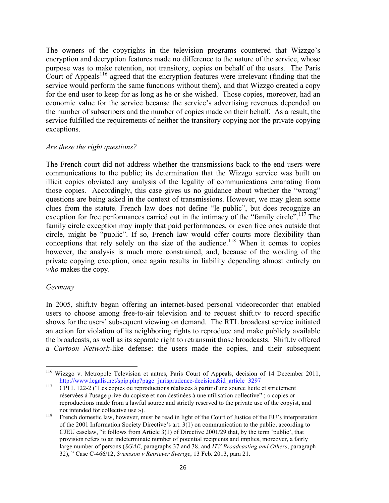The owners of the copyrights in the television programs countered that Wizzgo's encryption and decryption features made no difference to the nature of the service, whose purpose was to make retention, not transitory, copies on behalf of the users. The Paris Court of Appeals<sup>116</sup> agreed that the encryption features were irrelevant (finding that the service would perform the same functions without them), and that Wizzgo created a copy for the end user to keep for as long as he or she wished. Those copies, moreover, had an economic value for the service because the service's advertising revenues depended on the number of subscribers and the number of copies made on their behalf. As a result, the service fulfilled the requirements of neither the transitory copying nor the private copying exceptions.

#### *Are these the right questions?*

""""""""""""""""""""""""""""""""""""""""""""""""""""""""""""

The French court did not address whether the transmissions back to the end users were communications to the public; its determination that the Wizzgo service was built on illicit copies obviated any analysis of the legality of communications emanating from those copies. Accordingly, this case gives us no guidance about whether the "wrong" questions are being asked in the context of transmissions. However, we may glean some clues from the statute. French law does not define "le public", but does recognize an exception for free performances carried out in the intimacy of the "family circle".<sup>117</sup> The family circle exception may imply that paid performances, or even free ones outside that circle, might be "public". If so, French law would offer courts more flexibility than conceptions that rely solely on the size of the audience.<sup>118</sup> When it comes to copies however, the analysis is much more constrained, and, because of the wording of the private copying exception, once again results in liability depending almost entirely on *who* makes the copy.

#### *Germany*

In 2005, shift.tv began offering an internet-based personal videorecorder that enabled users to choose among free-to-air television and to request shift.tv to record specific shows for the users' subsequent viewing on demand. The RTL broadcast service initiated an action for violation of its neighboring rights to reproduce and make publicly available the broadcasts, as well as its separate right to retransmit those broadcasts. Shift.tv offered a *Cartoon Network*-like defense: the users made the copies, and their subsequent

<sup>&</sup>lt;sup>116</sup> Wizzgo v. Metropole Television et autres, Paris Court of Appeals, decision of 14 December 2011, http://www.legalis.net/spip.php?page=jurisprudence-decision&id\_article=3297<br>CPI L 122-2 ("Les copies ou reproductions réalisées à partir d'une source licite et strictement

réservées à l'usage privé du copiste et non destinées à une utilisation collective" ; « copies or reproductions made from a lawful source and strictly reserved to the private use of the copyist, and not intended for collective use »).<br><sup>118</sup> French domestic law, however, must be read in light of the Court of Justice of the EU's interpretation

of the 2001 Information Society Directive's art. 3(1) on communication to the public; according to CJEU caselaw, "it follows from Article 3(1) of Directive 2001/29 that, by the term 'public', that provision refers to an indeterminate number of potential recipients and implies, moreover, a fairly large number of persons (*SGAE*, paragraphs 37 and 38, and *ITV Broadcasting and Others*, paragraph 32), " Case C-466/12, *Svensson v Retriever Sverige*, 13 Feb. 2013, para 21.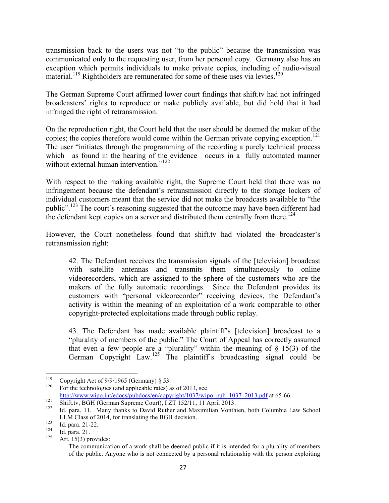transmission back to the users was not "to the public" because the transmission was communicated only to the requesting user, from her personal copy. Germany also has an exception which permits individuals to make private copies, including of audio-visual material.<sup>119</sup> Rightholders are remunerated for some of these uses via levies.<sup>120</sup>

The German Supreme Court affirmed lower court findings that shift.tv had not infringed broadcasters' rights to reproduce or make publicly available, but did hold that it had infringed the right of retransmission.

On the reproduction right, the Court held that the user should be deemed the maker of the copies; the copies therefore would come within the German private copying exception.<sup>121</sup> The user "initiates through the programming of the recording a purely technical process which—as found in the hearing of the evidence—occurs in a fully automated manner without external human intervention."<sup>122</sup>

With respect to the making available right, the Supreme Court held that there was no infringement because the defendant's retransmission directly to the storage lockers of individual customers meant that the service did not make the broadcasts available to "the public".<sup>123</sup> The court's reasoning suggested that the outcome may have been different had the defendant kept copies on a server and distributed them centrally from there.<sup>124</sup>

However, the Court nonetheless found that shift.tv had violated the broadcaster's retransmission right:

42. The Defendant receives the transmission signals of the [television] broadcast with satellite antennas and transmits them simultaneously to online videorecorders, which are assigned to the sphere of the customers who are the makers of the fully automatic recordings. Since the Defendant provides its customers with "personal videorecorder" receiving devices, the Defendant's activity is within the meaning of an exploitation of a work comparable to other copyright-protected exploitations made through public replay.

43. The Defendant has made available plaintiff's [television] broadcast to a "plurality of members of the public." The Court of Appeal has correctly assumed that even a few people are a "plurality" within the meaning of  $\S$  15(3) of the German Copyright Law.<sup>125</sup> The plaintiff's broadcasting signal could be

<sup>&</sup>lt;sup>119</sup> Copyright Act of 9/9/1965 (Germany) § 53.<br><sup>120</sup> For the technologies (and applicable rates) as of 2013, see

http://www.wipo.int/edocs/pubdocs/en/copyright/1037/wipo\_pub\_1037\_2013.pdf at 65-66.<br>
Shift.tv, BGH (German Supreme Court), I ZT 152/11, 11 April 2013.<br>
Id. para. 11. Many thanks to David Ruther and Maximilian Vonthien, bo LLM Class of 2014, for translating the BGH decision.<br>
123 Id. para. 21-22.<br>
125 Art. 15(3) provides:

The communication of a work shall be deemed public if it is intended for a plurality of members of the public. Anyone who is not connected by a personal relationship with the person exploiting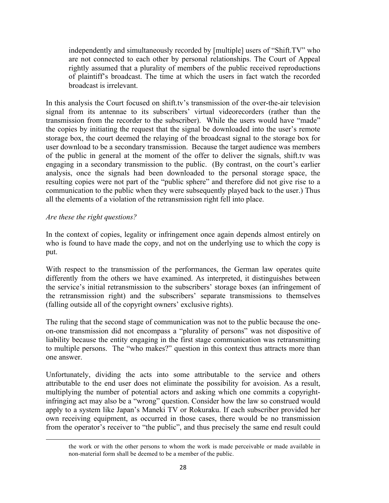independently and simultaneously recorded by [multiple] users of "Shift.TV" who are not connected to each other by personal relationships. The Court of Appeal rightly assumed that a plurality of members of the public received reproductions of plaintiff's broadcast. The time at which the users in fact watch the recorded broadcast is irrelevant.

In this analysis the Court focused on shift.tv's transmission of the over-the-air television signal from its antennae to its subscribers' virtual videorecorders (rather than the transmission from the recorder to the subscriber). While the users would have "made" the copies by initiating the request that the signal be downloaded into the user's remote storage box, the court deemed the relaying of the broadcast signal to the storage box for user download to be a secondary transmission. Because the target audience was members of the public in general at the moment of the offer to deliver the signals, shift.tv was engaging in a secondary transmission to the public. (By contrast, on the court's earlier analysis, once the signals had been downloaded to the personal storage space, the resulting copies were not part of the "public sphere" and therefore did not give rise to a communication to the public when they were subsequently played back to the user.) Thus all the elements of a violation of the retransmission right fell into place.

#### *Are these the right questions?*

In the context of copies, legality or infringement once again depends almost entirely on who is found to have made the copy, and not on the underlying use to which the copy is put.

With respect to the transmission of the performances, the German law operates quite differently from the others we have examined. As interpreted, it distinguishes between the service's initial retransmission to the subscribers' storage boxes (an infringement of the retransmission right) and the subscribers' separate transmissions to themselves (falling outside all of the copyright owners' exclusive rights).

The ruling that the second stage of communication was not to the public because the oneon-one transmission did not encompass a "plurality of persons" was not dispositive of liability because the entity engaging in the first stage communication was retransmitting to multiple persons. The "who makes?" question in this context thus attracts more than one answer.

Unfortunately, dividing the acts into some attributable to the service and others attributable to the end user does not eliminate the possibility for avoision. As a result, multiplying the number of potential actors and asking which one commits a copyrightinfringing act may also be a "wrong" question. Consider how the law so construed would apply to a system like Japan's Maneki TV or Rokuraku. If each subscriber provided her own receiving equipment, as occurred in those cases, there would be no transmission from the operator's receiver to "the public", and thus precisely the same end result could

""""""""""""""""""""""""""""""""""""""""""""""""""""""""""""""""""""""""""""""""""""""""""""""""""""""""""""""""""""""""""""""""""""""""""""""""""""""""""""""""""""""""""""""""""""

the work or with the other persons to whom the work is made perceivable or made available in non-material form shall be deemed to be a member of the public.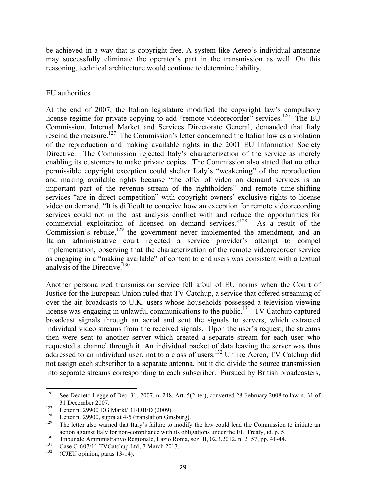be achieved in a way that is copyright free. A system like Aereo's individual antennae may successfully eliminate the operator's part in the transmission as well. On this reasoning, technical architecture would continue to determine liability.

## EU authorities

At the end of 2007, the Italian legislature modified the copyright law's compulsory license regime for private copying to add "remote videorecorder" services.<sup>126</sup> The EU Commission, Internal Market and Services Directorate General, demanded that Italy rescind the measure.<sup>127</sup> The Commission's letter condemned the Italian law as a violation of the reproduction and making available rights in the 2001 EU Information Society Directive. The Commission rejected Italy's characterization of the service as merely enabling its customers to make private copies. The Commission also stated that no other permissible copyright exception could shelter Italy's "weakening" of the reproduction and making available rights because "the offer of video on demand services is an important part of the revenue stream of the rightholders" and remote time-shifting services "are in direct competition" with copyright owners' exclusive rights to license video on demand. "It is difficult to conceive how an exception for remote videorecording services could not in the last analysis conflict with and reduce the opportunities for commercial exploitation of licensed on demand services."128 As a result of the Commission's rebuke, $129$  the government never implemented the amendment, and an Italian administrative court rejected a service provider's attempt to compel implementation, observing that the characterization of the remote videorecorder service as engaging in a "making available" of content to end users was consistent with a textual analysis of the Directive.<sup>130</sup>

Another personalized transmission service fell afoul of EU norms when the Court of Justice for the European Union ruled that TV Catchup, a service that offered streaming of over the air broadcasts to U.K. users whose households possessed a television-viewing license was engaging in unlawful communications to the public.<sup>131</sup> TV Catchup captured broadcast signals through an aerial and sent the signals to servers, which extracted individual video streams from the received signals. Upon the user's request, the streams then were sent to another server which created a separate stream for each user who requested a channel through it. An individual packet of data leaving the server was thus addressed to an individual user, not to a class of users. <sup>132</sup> Unlike Aereo, TV Catchup did not assign each subscriber to a separate antenna, but it did divide the source transmission into separate streams corresponding to each subscriber. Pursued by British broadcasters,

<sup>126</sup> See Decreto-Legge of Dec. 31, 2007, n. 248. Art. 5(2-ter), converted 28 February 2008 to law n. 31 of 31 December 2007.<br>
Letter n. 29900 DG Markt/D1/DB/D (2009).<br>
<sup>128</sup> Letter n. 29900, supra at 4-5 (translation Ginsburg).<br>
<sup>129</sup> The letter also warned that Italy's failure to modify the law could lead the Commission to in

action against Italy for non-compliance with its obligations under the EU Treaty, id. p. 5.<br>
Tribunale Amministrativo Regionale, Lazio Roma, sez. II, 02.3.2012, n. 2157, pp. 41-44.<br>
Case C-607/11 TVCatchup Ltd, 7 March 201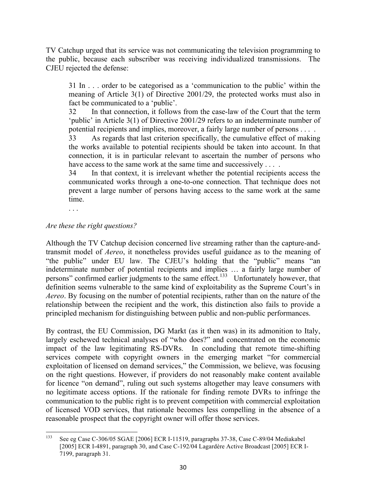TV Catchup urged that its service was not communicating the television programming to the public, because each subscriber was receiving individualized transmissions. The CJEU rejected the defense:

31 In . . . order to be categorised as a 'communication to the public' within the meaning of Article 3(1) of Directive 2001/29, the protected works must also in fact be communicated to a 'public'.

32 In that connection, it follows from the case-law of the Court that the term 'public' in Article 3(1) of Directive 2001/29 refers to an indeterminate number of potential recipients and implies, moreover, a fairly large number of persons . . . .

33 As regards that last criterion specifically, the cumulative effect of making the works available to potential recipients should be taken into account. In that connection, it is in particular relevant to ascertain the number of persons who have access to the same work at the same time and successively . . . .

34 In that context, it is irrelevant whether the potential recipients access the communicated works through a one-to-one connection. That technique does not prevent a large number of persons having access to the same work at the same time.

. . .

#### *Are these the right questions?*

Although the TV Catchup decision concerned live streaming rather than the capture-andtransmit model of *Aereo*, it nonetheless provides useful guidance as to the meaning of "the public" under EU law. The CJEU's holding that the "public" means "an indeterminate number of potential recipients and implies … a fairly large number of persons" confirmed earlier judgments to the same effect.<sup>133</sup> Unfortunately however, that definition seems vulnerable to the same kind of exploitability as the Supreme Court's in *Aereo*. By focusing on the number of potential recipients, rather than on the nature of the relationship between the recipient and the work, this distinction also fails to provide a principled mechanism for distinguishing between public and non-public performances.

By contrast, the EU Commission, DG Markt (as it then was) in its admonition to Italy, largely eschewed technical analyses of "who does?" and concentrated on the economic impact of the law legitimating RS-DVRs. In concluding that remote time-shifting services compete with copyright owners in the emerging market "for commercial exploitation of licensed on demand services," the Commission, we believe, was focusing on the right questions. However, if providers do not reasonably make content available for licence "on demand", ruling out such systems altogether may leave consumers with no legitimate access options. If the rationale for finding remote DVRs to infringe the communication to the public right is to prevent competition with commercial exploitation of licensed VOD services, that rationale becomes less compelling in the absence of a reasonable prospect that the copyright owner will offer those services.

<sup>&</sup>quot;""""""""""""""""""""""""""""""""""""""""""""""""""""""""""" <sup>133</sup> See eg Case C-306/05 SGAE [2006] ECR I-11519, paragraphs 37-38, Case C-89/04 Mediakabel [2005] ECR I-4891, paragraph 30, and Case C-192/04 Lagardère Active Broadcast [2005] ECR I-7199, paragraph 31.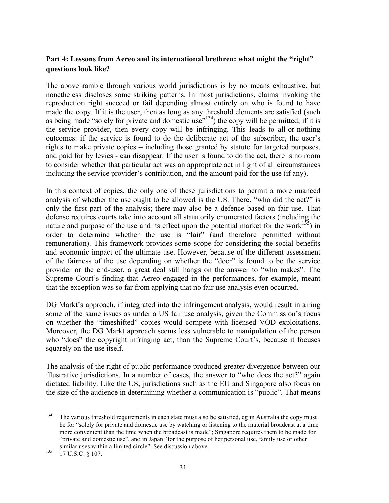## Part 4: Lessons from Aereo and its international brethren: what might the "right" **questions look like?**

The above ramble through various world jurisdictions is by no means exhaustive, but nonetheless discloses some striking patterns. In most jurisdictions, claims invoking the reproduction right succeed or fail depending almost entirely on who is found to have made the copy. If it is the user, then as long as any threshold elements are satisfied (such as being made "solely for private and domestic use"<sup>134</sup>) the copy will be permitted; if it is the service provider, then every copy will be infringing. This leads to all-or-nothing outcomes: if the service is found to do the deliberate act of the subscriber, the user's rights to make private copies – including those granted by statute for targeted purposes, and paid for by levies - can disappear. If the user is found to do the act, there is no room to consider whether that particular act was an appropriate act in light of all circumstances including the service provider's contribution, and the amount paid for the use (if any).

In this context of copies, the only one of these jurisdictions to permit a more nuanced analysis of whether the use ought to be allowed is the US. There, "who did the act?" is only the first part of the analysis; there may also be a defence based on fair use. That defense requires courts take into account all statutorily enumerated factors (including the nature and purpose of the use and its effect upon the potential market for the work $^{135}$ ) in order to determine whether the use is "fair" (and therefore permitted without remuneration). This framework provides some scope for considering the social benefits and economic impact of the ultimate use. However, because of the different assessment of the fairness of the use depending on whether the "doer" is found to be the service provider or the end-user, a great deal still hangs on the answer to "who makes". The Supreme Court's finding that Aereo engaged in the performances, for example, meant that the exception was so far from applying that no fair use analysis even occurred.

DG Markt's approach, if integrated into the infringement analysis, would result in airing some of the same issues as under a US fair use analysis, given the Commission's focus on whether the "timeshifted" copies would compete with licensed VOD exploitations. Moreover, the DG Markt approach seems less vulnerable to manipulation of the person who "does" the copyright infringing act, than the Supreme Court's, because it focuses squarely on the use itself.

The analysis of the right of public performance produced greater divergence between our illustrative jurisdictions. In a number of cases, the answer to "who does the act?" again dictated liability. Like the US, jurisdictions such as the EU and Singapore also focus on the size of the audience in determining whether a communication is "public". That means

<sup>&</sup>lt;sup>134</sup> The various threshold requirements in each state must also be satisfied, eg in Australia the copy must be for "solely for private and domestic use by watching or listening to the material broadcast at a time more convenient than the time when the broadcast is made"; Singapore requires them to be made for "private and domestic use", and in Japan "for the purpose of her personal use, family use or other similar uses within a limited circle". See discussion above.<br>135 17 U.S.C. § 107.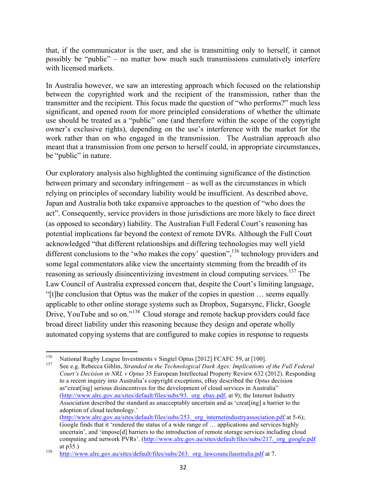that, if the communicator is the user, and she is transmitting only to herself, it cannot possibly be "public" – no matter how much such transmissions cumulatively interfere with licensed markets.

In Australia however, we saw an interesting approach which focused on the relationship between the copyrighted work and the recipient of the transmission, rather than the transmitter and the recipient. This focus made the question of "who performs?" much less significant, and opened room for more principled considerations of whether the ultimate use should be treated as a "public" one (and therefore within the scope of the copyright owner's exclusive rights), depending on the use's interference with the market for the work rather than on who engaged in the transmission. The Australian approach also meant that a transmission from one person to herself could, in appropriate circumstances, be "public" in nature.

Our exploratory analysis also highlighted the continuing significance of the distinction between primary and secondary infringement – as well as the circumstances in which relying on principles of secondary liability would be insufficient. As described above, Japan and Australia both take expansive approaches to the question of "who does the act". Consequently, service providers in those jurisdictions are more likely to face direct (as opposed to secondary) liability. The Australian Full Federal Court's reasoning has potential implications far beyond the context of remote DVRs. Although the Full Court acknowledged "that different relationships and differing technologies may well yield different conclusions to the 'who makes the copy' question",  $136$  technology providers and some legal commentators alike view the uncertainty stemming from the breadth of its reasoning as seriously disincentivizing investment in cloud computing services.<sup>137</sup> The Law Council of Australia expressed concern that, despite the Court's limiting language, "[t]he conclusion that Optus was the maker of the copies in question … seems equally applicable to other online storage systems such as Dropbox, Sugarsync, Flickr, Google Drive, YouTube and so on."<sup>138</sup> Cloud storage and remote backup providers could face broad direct liability under this reasoning because they design and operate wholly automated copying systems that are configured to make copies in response to requests

<sup>136</sup> National Rugby League Investments v Singtel Optus [2012] FCAFC 59, at [100].<br><sup>137</sup> See e.g. Rebecca Giblin, *Stranded in the Technological Dark Ages: Implications of the Full Federal Court's Decision in NRL v Optus* 35 European Intellectual Property Review 632 (2012). Responding to a recent inquiry into Australia's copyright exceptions, eBay described the *Optus* decision as"creat[ing] serious disincentives for the development of cloud services in Australia" (http://www.alrc.gov.au/sites/default/files/subs/93. org\_ebay.pdf, at 9); the Internet Industry Association described the standard as unacceptably uncertain and as 'creat[ing] a barrier to the adoption of cloud technology.' (http://www.alrc.gov.au/sites/default/files/subs/253.\_org\_internetindustryassociation.pdf at 5-6);

<sup>&</sup>quot;"""""""""""""""""""""""""""""""""""""""""""""""""""""""""""

Google finds that it 'rendered the status of a wide range of … applications and services highly uncertain', and 'impose[d] barriers to the introduction of remote storage services including cloud computing and network PVRs'. (http://www.alrc.gov.au/sites/default/files/subs/217. org\_google.pdf at p35.)<br>
http://www.alrc.gov.au/sites/default/files/subs/263. org\_lawcouncilaustralia.pdf at 7.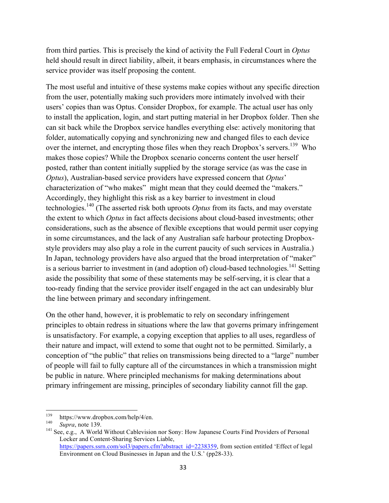from third parties. This is precisely the kind of activity the Full Federal Court in *Optus* held should result in direct liability, albeit, it bears emphasis, in circumstances where the service provider was itself proposing the content.

The most useful and intuitive of these systems make copies without any specific direction from the user, potentially making such providers more intimately involved with their users' copies than was Optus. Consider Dropbox, for example. The actual user has only to install the application, login, and start putting material in her Dropbox folder. Then she can sit back while the Dropbox service handles everything else: actively monitoring that folder, automatically copying and synchronizing new and changed files to each device over the internet, and encrypting those files when they reach Dropbox's servers.<sup>139</sup> Who makes those copies? While the Dropbox scenario concerns content the user herself posted, rather than content initially supplied by the storage service (as was the case in *Optus*), Australian-based service providers have expressed concern that *Optus*' characterization of "who makes" might mean that they could deemed the "makers." Accordingly, they highlight this risk as a key barrier to investment in cloud technologies. <sup>140</sup> (The asserted risk both uproots *Optus* from its facts, and may overstate the extent to which *Optus* in fact affects decisions about cloud-based investments; other considerations, such as the absence of flexible exceptions that would permit user copying in some circumstances, and the lack of any Australian safe harbour protecting Dropboxstyle providers may also play a role in the current paucity of such services in Australia.) In Japan, technology providers have also argued that the broad interpretation of "maker" is a serious barrier to investment in (and adoption of) cloud-based technologies.<sup>141</sup> Setting aside the possibility that some of these statements may be self-serving, it is clear that a too-ready finding that the service provider itself engaged in the act can undesirably blur the line between primary and secondary infringement.

On the other hand, however, it is problematic to rely on secondary infringement principles to obtain redress in situations where the law that governs primary infringement is unsatisfactory. For example, a copying exception that applies to all uses, regardless of their nature and impact, will extend to some that ought not to be permitted. Similarly, a conception of "the public" that relies on transmissions being directed to a "large" number of people will fail to fully capture all of the circumstances in which a transmission might be public in nature. Where principled mechanisms for making determinations about primary infringement are missing, principles of secondary liability cannot fill the gap.

<sup>&</sup>lt;sup>139</sup> https://www.dropbox.com/help/4/en.<br><sup>140</sup> *Supra*, note 139.<br><sup>141</sup> See, e.g., A World Without Cablevision nor Sony: How Japanese Courts Find Providers of Personal Locker and Content-Sharing Services Liable, https://papers.ssrn.com/sol3/papers.cfm?abstract\_id=2238359, from section entitled 'Effect of legal Environment on Cloud Businesses in Japan and the U.S.' (pp28-33).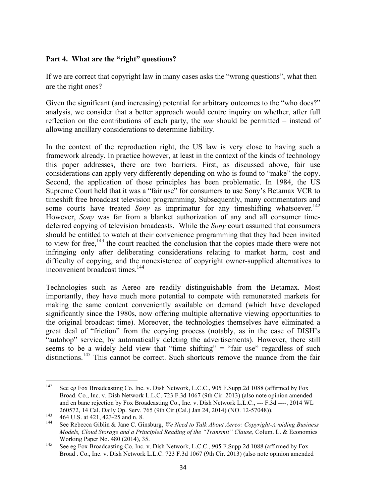## **Part 4. What are the "right" questions?**

If we are correct that copyright law in many cases asks the "wrong questions", what then are the right ones?

Given the significant (and increasing) potential for arbitrary outcomes to the "who does?" analysis, we consider that a better approach would centre inquiry on whether, after full reflection on the contributions of each party, the *use* should be permitted – instead of allowing ancillary considerations to determine liability.

In the context of the reproduction right, the US law is very close to having such a framework already. In practice however, at least in the context of the kinds of technology this paper addresses, there are two barriers. First, as discussed above, fair use considerations can apply very differently depending on who is found to "make" the copy. Second, the application of those principles has been problematic. In 1984, the US Supreme Court held that it was a "fair use" for consumers to use Sony's Betamax VCR to timeshift free broadcast television programming. Subsequently, many commentators and some courts have treated *Sony* as imprimatur for any timeshifting whatsoever.<sup>142</sup> However, *Sony* was far from a blanket authorization of any and all consumer timedeferred copying of television broadcasts. While the *Sony* court assumed that consumers should be entitled to watch at their convenience programming that they had been invited to view for free,<sup>143</sup> the court reached the conclusion that the copies made there were not infringing only after deliberating considerations relating to market harm, cost and difficulty of copying, and the nonexistence of copyright owner-supplied alternatives to inconvenient broadcast times. 144

Technologies such as Aereo are readily distinguishable from the Betamax. Most importantly, they have much more potential to compete with remunerated markets for making the same content conveniently available on demand (which have developed significantly since the 1980s, now offering multiple alternative viewing opportunities to the original broadcast time). Moreover, the technologies themselves have eliminated a great deal of "friction" from the copying process (notably, as in the case of DISH's "autohop" service, by automatically deleting the advertisements). However, there still seems to be a widely held view that "time shifting" = "fair use" regardless of such distinctions.<sup>145</sup> This cannot be correct. Such shortcuts remove the nuance from the fair

<sup>&</sup>quot;""""""""""""""""""""""""""""""""""""""""""""""""""""""""""" <sup>142</sup> See eg Fox Broadcasting Co. Inc. v. Dish Network, L.C.C., 905 F.Supp.2d 1088 (affirmed by Fox Broad. Co., Inc. v. Dish Network L.L.C. 723 F.3d 1067 (9th Cir. 2013) (also note opinion amended and en banc rejection by Fox Broadcasting Co., Inc. v. Dish Network L.L.C., --- F.3d ----, 2014 WL

<sup>260572, 14</sup> Cal. Daily Op. Serv. 765 (9th Cir.(Cal.) Jan 24, 2014) (NO. 12-57048)).<br>464 U.S. at 421, 423-25 and n. 8.<br>5ee Rebecca Giblin & Jane C. Ginsburg, We Need to Talk About Aereo: Copyright-Avoiding Business *Models, Cloud Storage and a Principled Reading of the "Transmit" Clause*, Colum. L. & Economics

Working Paper No. 480 (2014), 35.<br>
See eg Fox Broadcasting Co. Inc. v. Dish Network, L.C.C., 905 F.Supp.2d 1088 (affirmed by Fox Broad . Co., Inc. v. Dish Network L.L.C. 723 F.3d 1067 (9th Cir. 2013) (also note opinion amended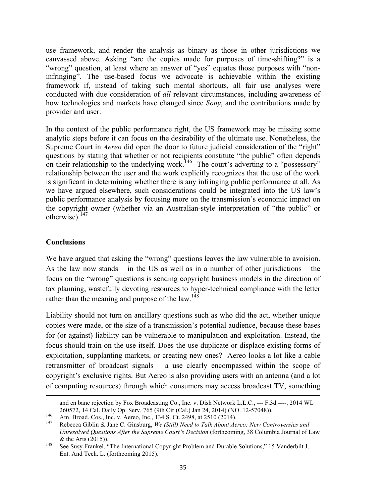use framework, and render the analysis as binary as those in other jurisdictions we canvassed above. Asking "are the copies made for purposes of time-shifting?" is a "wrong" question, at least where an answer of "yes" equates those purposes with "noninfringing". The use-based focus we advocate is achievable within the existing framework if, instead of taking such mental shortcuts, all fair use analyses were conducted with due consideration of *all* relevant circumstances, including awareness of how technologies and markets have changed since *Sony*, and the contributions made by provider and user.

In the context of the public performance right, the US framework may be missing some analytic steps before it can focus on the desirability of the ultimate use. Nonetheless, the Supreme Court in *Aereo* did open the door to future judicial consideration of the "right" questions by stating that whether or not recipients constitute "the public" often depends on their relationship to the underlying work.<sup>146</sup> The court's adverting to a "possessory" relationship between the user and the work explicitly recognizes that the use of the work is significant in determining whether there is any infringing public performance at all. As we have argued elsewhere, such considerations could be integrated into the US law's public performance analysis by focusing more on the transmission's economic impact on the copyright owner (whether via an Australian-style interpretation of "the public" or otherwise).<sup>147</sup>

#### **Conclusions**

We have argued that asking the "wrong" questions leaves the law vulnerable to avoision. As the law now stands – in the US as well as in a number of other jurisdictions – the focus on the "wrong" questions is sending copyright business models in the direction of tax planning, wastefully devoting resources to hyper-technical compliance with the letter rather than the meaning and purpose of the law.<sup>148</sup>

Liability should not turn on ancillary questions such as who did the act, whether unique copies were made, or the size of a transmission's potential audience, because these bases for (or against) liability can be vulnerable to manipulation and exploitation. Instead, the focus should train on the use itself. Does the use duplicate or displace existing forms of exploitation, supplanting markets, or creating new ones? Aereo looks a lot like a cable retransmitter of broadcast signals – a use clearly encompassed within the scope of copyright's exclusive rights. But Aereo is also providing users with an antenna (and a lot of computing resources) through which consumers may access broadcast TV, something

<sup>&</sup>quot;""""""""""""""""""""""""""""""""""""""""""""""""""""""""""""""""""""""""""""""""""""""""""""""""""""""""""""""""""""""""""""""""""""""""""""""""""""""""""""""""""""""""""""""""""" and en banc rejection by Fox Broadcasting Co., Inc. v. Dish Network L.L.C., --- F.3d ----, 2014 WL

<sup>260572, 14</sup> Cal. Daily Op. Serv. 765 (9th Cir.(Cal.) Jan 24, 2014) (NO. 12-57048)).<br>Am. Broad. Cos., Inc. v. Aereo, Inc., 134 S. Ct. 2498, at 2510 (2014).<br>Rebecca Giblin & Jane C. Ginsburg, We (Still) Need to Talk About Aer *Unresolved Questions After the Supreme Court's Decision* (forthcoming, 38 Columbia Journal of Law

<sup>&</sup>amp; the Arts (2015)). <sup>148</sup> See Susy Frankel, "The International Copyright Problem and Durable Solutions," 15 Vanderbilt J. Ent. And Tech. L. (forthcoming 2015).